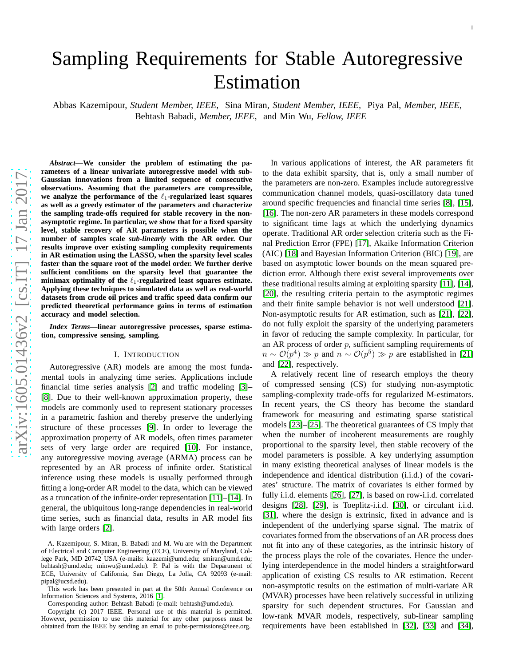# Sampling Requirements for Stable Autoregressive Estimation

Abbas Kazemipour, *Student Member, IEEE,* Sina Miran, *Student Member, IEEE,* Piya Pal, *Member, IEEE,* Behtash Babadi, *Member, IEEE,* and Min Wu, *Fellow, IEEE*

*Abstract***—We consider the problem of estimating the parameters of a linear univariate autoregressive model with sub-Gaussian innovations from a limited sequence of consecutive observations. Assuming that the parameters are compressible,** we analyze the performance of the  $\ell_1$ -regularized least squares **as well as a greedy estimator of the parameters and characterize the sampling trade-offs required for stable recovery in the nonasymptotic regime. In particular, we show that for a fixed sparsity level, stable recovery of AR parameters is possible when the number of samples scale** *sub-linearly* **with the AR order. Our results improve over existing sampling complexity requirements in AR estimation using the LASSO, when the sparsity level scales faster than the square root of the model order. We further derive sufficient conditions on the sparsity level that guarantee the** minimax optimality of the  $\ell_1$ -regularized least squares estimate. **Applying these techniques to simulated data as well as real-world datasets from crude oil prices and traffic speed data confirm our predicted theoretical performance gains in terms of estimation accuracy and model selection.**

*Index Terms***—linear autoregressive processes, sparse estimation, compressive sensing, sampling.**

#### I. INTRODUCTION

Autoregressive (AR) models are among the most fundamental tools in analyzing time series. Applications include financial time series analysis [\[2\]](#page-13-0) and traffic modeling [\[3\]](#page-13-1)– [\[8\]](#page-13-2). Due to their well-known approximation property, these models are commonly used to represent stationary processes in a parametric fashion and thereby preserve the underlying structure of these processes [\[9\]](#page-13-3). In order to leverage the approximation property of AR models, often times parameter sets of very large order are required [\[10\]](#page-13-4). For instance, any autoregressive moving average (ARMA) process can be represented by an AR process of infinite order. Statistical inference using these models is usually performed through fitting a long-order AR model to the data, which can be viewed as a truncation of the infinite-order representation [\[11\]](#page-13-5)–[\[14\]](#page-13-6). In general, the ubiquitous long-range dependencies in real-world time series, such as financial data, results in AR model fits with large orders [\[2\]](#page-13-0).

Corresponding author: Behtash Babadi (e-mail: behtash@umd.edu).

Copyright (c) 2017 IEEE. Personal use of this material is permitted. However, permission to use this material for any other purposes must be obtained from the IEEE by sending an email to pubs-permissions@ieee.org.

In various applications of interest, the AR parameters fit to the data exhibit sparsity, that is, only a small number of the parameters are non-zero. Examples include autoregressive communication channel models, quasi-oscillatory data tuned around specific frequencies and financial time series [\[8\]](#page-13-2), [\[15\]](#page-13-8), [\[16\]](#page-13-9). The non-zero AR parameters in these models correspond to significant time lags at which the underlying dynamics operate. Traditional AR order selection criteria such as the Final Prediction Error (FPE) [\[17\]](#page-13-10), Akaike Information Criterion (AIC) [\[18\]](#page-13-11) and Bayesian Information Criterion (BIC) [\[19\]](#page-13-12), are based on asymptotic lower bounds on the mean squared prediction error. Although there exist several improvements over these traditional results aiming at exploiting sparsity [\[11\]](#page-13-5), [\[14\]](#page-13-6), [\[20\]](#page-13-13), the resulting criteria pertain to the asymptotic regimes and their finite sample behavior is not well understood [\[21\]](#page-13-14). Non-asymptotic results for AR estimation, such as [\[21\]](#page-13-14), [\[22\]](#page-13-15), do not fully exploit the sparsity of the underlying parameters in favor of reducing the sample complexity. In particular, for an AR process of order  $p$ , sufficient sampling requirements of  $n \sim \mathcal{O}(p^4) \gg p$  and  $n \sim \mathcal{O}(p^5) \gg p$  are established in [\[21\]](#page-13-14) and [\[22\]](#page-13-15), respectively.

A relatively recent line of research employs the theory of compressed sensing (CS) for studying non-asymptotic sampling-complexity trade-offs for regularized M-estimators. In recent years, the CS theory has become the standard framework for measuring and estimating sparse statistical models [\[23\]](#page-13-16)–[\[25\]](#page-13-17). The theoretical guarantees of CS imply that when the number of incoherent measurements are roughly proportional to the sparsity level, then stable recovery of the model parameters is possible. A key underlying assumption in many existing theoretical analyses of linear models is th e independence and identical distribution (i.i.d.) of the covariates' structure. The matrix of covariates is either formed by fully i.i.d. elements [\[26\]](#page-13-18), [\[27\]](#page-13-19), is based on row-i.i.d. correlated designs [\[28\]](#page-13-20), [\[29\]](#page-13-21), is Toeplitz-i.i.d. [\[30\]](#page-13-22), or circulant i.i.d. [\[31\]](#page-13-23), where the design is extrinsic, fixed in advance and is independent of the underlying sparse signal. The matrix of covariates formed from the observations of an AR process doe s not fit into any of these categories, as the intrinsic history of the process plays the role of the covariates. Hence the under lying interdependence in the model hinders a straightforward application of existing CS results to AR estimation. Recent non-asymptotic results on the estimation of multi-variate AR (MVAR) processes have been relatively successful in utilizing sparsity for such dependent structures. For Gaussian and low-rank MVAR models, respectively, sub-linear sampling requirements have been established in [\[32\]](#page-13-24), [\[33\]](#page-13-25) and [\[34\]](#page-13-26),

A. Kazemipour, S. Miran, B. Babadi and M. Wu are with the Department of Electrical and Computer Engineering (ECE), University of Maryland, College Park, MD 20742 USA (e-mails: kaazemi@umd.edu; smiran@umd.edu; behtash@umd.edu; minwu@umd.edu). P. Pal is with the Department of ECE, University of California, San Diego, La Jolla, CA 92093 (e-mail: pipal@ucsd.edu).

This work has been presented in part at the 50th Annual Conference on Information Sciences and Systems, 2016 [\[1\]](#page-13-7).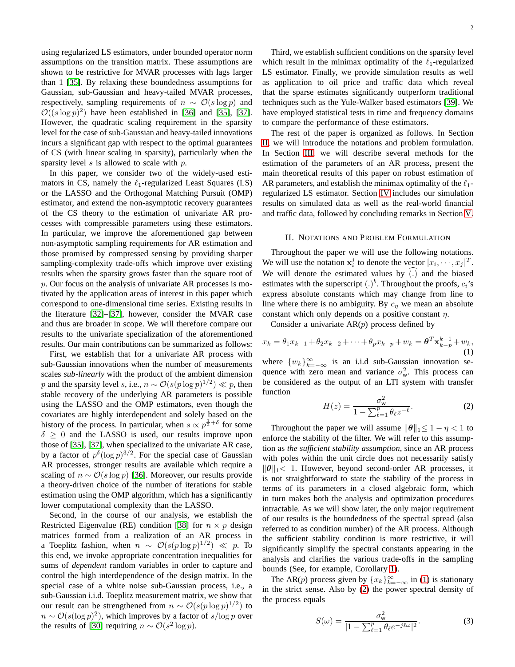using regularized LS estimators, under bounded operator norm assumptions on the transition matrix. These assumptions are shown to be restrictive for MVAR processes with lags larger than 1 [\[35\]](#page-13-27). By relaxing these boundedness assumptions for Gaussian, sub-Gaussian and heavy-tailed MVAR processes, respectively, sampling requirements of  $n \sim \mathcal{O}(s \log p)$  and  $\mathcal{O}((s \log p)^2)$  have been established in [\[36\]](#page-13-28) and [\[35\]](#page-13-27), [\[37\]](#page-13-29). However, the quadratic scaling requirement in the sparsity level for the case of sub-Gaussian and heavy-tailed innovations incurs a significant gap with respect to the optimal guarantees of CS (with linear scaling in sparsity), particularly when the sparsity level  $s$  is allowed to scale with  $p$ .

In this paper, we consider two of the widely-used estimators in CS, namely the  $\ell_1$ -regularized Least Squares (LS) or the LASSO and the Orthogonal Matching Pursuit (OMP) estimator, and extend the non-asymptotic recovery guarantees of the CS theory to the estimation of univariate AR processes with compressible parameters using these estimators. In particular, we improve the aforementioned gap between non-asymptotic sampling requirements for AR estimation and those promised by compressed sensing by providing sharper sampling-complexity trade-offs which improve over existing results when the sparsity grows faster than the square root of p. Our focus on the analysis of univariate AR processes is motivated by the application areas of interest in this paper which correspond to one-dimensional time series. Existing results in the literature [\[32\]](#page-13-24)–[\[37\]](#page-13-29), however, consider the MVAR case and thus are broader in scope. We will therefore compare our results to the univariate specialization of the aforementioned results. Our main contributions can be summarized as follows:

First, we establish that for a univariate AR process with sub-Gaussian innovations when the number of measurements scales *sub-linearly* with the product of the ambient dimension p and the sparsity level s, i.e.,  $n \sim \mathcal{O}(s(p \log p)^{1/2}) \ll p$ , then stable recovery of the underlying AR parameters is possible using the LASSO and the OMP estimators, even though the covariates are highly interdependent and solely based on the history of the process. In particular, when  $s \propto p^{\frac{1}{2} + \delta}$  for some  $\delta \geq 0$  and the LASSO is used, our results improve upon those of [\[35\]](#page-13-27), [\[37\]](#page-13-29), when specialized to the univariate AR case, by a factor of  $p^{\delta}(\log p)^{3/2}$ . For the special case of Gaussian AR processes, stronger results are available which require a scaling of  $n \sim \mathcal{O}(s \log p)$  [\[36\]](#page-13-28). Moreover, our results provide a theory-driven choice of the number of iterations for stable estimation using the OMP algorithm, which has a significantly lower computational complexity than the LASSO.

Second, in the course of our analysis, we establish the Restricted Eigenvalue (RE) condition [\[38\]](#page-13-30) for  $n \times p$  design matrices formed from a realization of an AR process in a Toeplitz fashion, when  $n \sim \mathcal{O}(s(p \log p)^{1/2}) \ll p$ . To this end, we invoke appropriate concentration inequalities for sums of *dependent* random variables in order to capture and control the high interdependence of the design matrix. In the special case of a white noise sub-Gaussian process, i.e., a sub-Gaussian i.i.d. Toeplitz measurement matrix, we show that our result can be strengthened from  $n \sim \mathcal{O}(s(p \log p)^{1/2})$  to  $n \sim \mathcal{O}(s(\log p)^2)$ , which improves by a factor of  $s/\log p$  over the results of [\[30\]](#page-13-22) requiring  $n \sim \mathcal{O}(s^2 \log p)$ .

Third, we establish sufficient conditions on the sparsity level which result in the minimax optimality of the  $\ell_1$ -regularized LS estimator. Finally, we provide simulation results as well as application to oil price and traffic data which reveal that the sparse estimates significantly outperform traditional techniques such as the Yule-Walker based estimators [\[39\]](#page-13-31). We have employed statistical tests in time and frequency domains to compare the performance of these estimators.

The rest of the paper is organized as follows. In Section [II,](#page-1-0) we will introduce the notations and problem formulation. In Section [III,](#page-2-0) we will describe several methods for the estimation of the parameters of an AR process, present the main theoretical results of this paper on robust estimation of AR parameters, and establish the minimax optimality of the  $\ell_1$ regularized LS estimator. Section [IV](#page-5-0) includes our simulation results on simulated data as well as the real-world financial and traffic data, followed by concluding remarks in Section [V.](#page-8-0)

#### <span id="page-1-0"></span>II. NOTATIONS AND PROBLEM FORMULATION

Throughout the paper we will use the following notations. We will use the notation  $x_i^j$  to denote the vector  $[x_i, \dots, x_j]^T$ . We will denote the estimated values by  $(.)$  and the biased estimates with the superscript  $(.)^b$ . Throughout the proofs,  $c_i$ 's express absolute constants which may change from line to line where there is no ambiguity. By  $c_{\eta}$  we mean an absolute constant which only depends on a positive constant  $\eta$ .

Consider a univariate  $AR(p)$  process defined by

<span id="page-1-1"></span>
$$
x_k = \theta_1 x_{k-1} + \theta_2 x_{k-2} + \dots + \theta_p x_{k-p} + w_k = \boldsymbol{\theta}^T \mathbf{x}_{k-p}^{k-1} + w_k,
$$
  
(1)

where  $\{w_k\}_{k=-\infty}^{\infty}$  is an i.i.d sub-Gaussian innovation sequence with zero mean and variance  $\sigma_w^2$ . This process can be considered as the output of an LTI system with transfer function

<span id="page-1-2"></span>
$$
H(z) = \frac{\sigma_{\mathsf{w}}^2}{1 - \sum_{\ell=1}^p \theta_\ell z^{-\ell}}.\tag{2}
$$

Throughout the paper we will assume  $\|\boldsymbol{\theta}\|_1 \leq 1 - \eta < 1$  to enforce the stability of the filter. We will refer to this assumption as *the sufficient stability assumption*, since an AR process with poles within the unit circle does not necessarily satisfy  $\|\theta\|_1$ < 1. However, beyond second-order AR processes, it is not straightforward to state the stability of the process in terms of its parameters in a closed algebraic form, which in turn makes both the analysis and optimization procedures intractable. As we will show later, the only major requirement of our results is the boundedness of the spectral spread (also referred to as condition number) of the AR process. Although the sufficient stability condition is more restrictive, it will significantly simplify the spectral constants appearing in the analysis and clarifies the various trade-offs in the sampling bounds (See, for example, Corollary [1\)](#page-8-1).

The AR(p) process given by  $\{x_k\}_{k=-\infty}^{\infty}$  in [\(1\)](#page-1-1) is stationary in the strict sense. Also by [\(2\)](#page-1-2) the power spectral density of the process equals

$$
S(\omega) = \frac{\sigma_{\mathsf{w}}^2}{|1 - \sum_{\ell=1}^p \theta_\ell e^{-j\ell \omega}|^2}.
$$
 (3)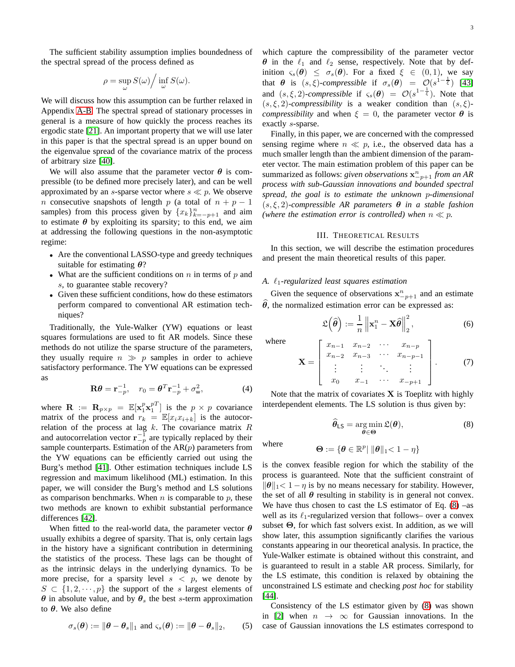$$
\rho = \sup_{\omega} S(\omega) / \inf_{\omega} S(\omega).
$$

We will discuss how this assumption can be further relaxed in Appendix [A-B.](#page-9-0) The spectral spread of stationary processes in general is a measure of how quickly the process reaches its ergodic state [\[21\]](#page-13-14). An important property that we will use later in this paper is that the spectral spread is an upper bound on the eigenvalue spread of the covariance matrix of the process of arbitrary size [\[40\]](#page-13-32).

We will also assume that the parameter vector  $\theta$  is compressible (to be defined more precisely later), and can be well approximated by an s-sparse vector where  $s \ll p$ . We observe n consecutive snapshots of length p (a total of  $n + p - 1$ samples) from this process given by  $\{x_k\}_{k=-p+1}^n$  and aim to estimate  $\theta$  by exploiting its sparsity; to this end, we aim at addressing the following questions in the non-asymptotic regime:

- Are the conventional LASSO-type and greedy techniques suitable for estimating  $\theta$ ?
- What are the sufficient conditions on  $n$  in terms of  $p$  and s, to guarantee stable recovery?
- Given these sufficient conditions, how do these estimators perform compared to conventional AR estimation techniques?

Traditionally, the Yule-Walker (YW) equations or least squares formulations are used to fit AR models. Since these methods do not utilize the sparse structure of the parameters, they usually require  $n \gg p$  samples in order to achieve satisfactory performance. The YW equations can be expressed as

$$
\mathbf{R}\boldsymbol{\theta} = \mathbf{r}_{-p}^{-1}, \quad r_0 = \boldsymbol{\theta}^T \mathbf{r}_{-p}^{-1} + \sigma_w^2,\tag{4}
$$

where  $\mathbf{R} := \mathbf{R}_{p \times p} = \mathbb{E}[\mathbf{x}_1^p \mathbf{x}_1^{p}$  is the  $p \times p$  covariance matrix of the process and  $r_k = \mathbb{E}[x_i x_{i+k}]$  is the autocorrelation of the process at lag  $k$ . The covariance matrix  $R$ and autocorrelation vector  $\mathbf{r}_{-p}^{-1}$  are typically replaced by their sample counterparts. Estimation of the  $AR(p)$  parameters from the YW equations can be efficiently carried out using the Burg's method [\[41\]](#page-13-33). Other estimation techniques include LS regression and maximum likelihood (ML) estimation. In this paper, we will consider the Burg's method and LS solutions as comparison benchmarks. When  $n$  is comparable to  $p$ , these two methods are known to exhibit substantial performance differences [\[42\]](#page-13-34).

When fitted to the real-world data, the parameter vector  $\theta$ usually exhibits a degree of sparsity. That is, only certain lags in the history have a significant contribution in determining the statistics of the process. These lags can be thought of as the intrinsic delays in the underlying dynamics. To be more precise, for a sparsity level  $s < p$ , we denote by  $S \subset \{1, 2, \dots, p\}$  the support of the s largest elements of  $\theta$  in absolute value, and by  $\theta_s$  the best s-term approximation to  $θ$ . We also define

$$
\sigma_s(\boldsymbol{\theta}) := \|\boldsymbol{\theta} - \boldsymbol{\theta}_s\|_1 \text{ and } \varsigma_s(\boldsymbol{\theta}) := \|\boldsymbol{\theta} - \boldsymbol{\theta}_s\|_2, \qquad (5)
$$

which capture the compressibility of the parameter vector  $\theta$  in the  $\ell_1$  and  $\ell_2$  sense, respectively. Note that by definition  $\varsigma_s(\theta) \leq \sigma_s(\theta)$ . For a fixed  $\xi \in (0,1)$ , we say that  $\theta$  is  $(s, \xi)$ -compressible if  $\sigma_s(\theta) = O(s^{1-\frac{1}{\xi}})$  [\[43\]](#page-13-35) and  $(s, \xi, 2)$ -*compressible* if  $\varsigma_s(\theta) = \mathcal{O}(s^{1-\frac{1}{\xi}})$ . Note that

 $(s, \xi, 2)$ *-compressibility* is a weaker condition than  $(s, \xi)$ *compressibility* and when  $\xi = 0$ , the parameter vector  $\theta$  is exactly s-sparse.

Finally, in this paper, we are concerned with the compressed sensing regime where  $n \ll p$ , i.e., the observed data has a much smaller length than the ambient dimension of the parameter vector. The main estimation problem of this paper can be summarized as follows: *given observations*  $\mathbf{x}_{-p+1}^n$  *from an AR process with sub-Gaussian innovations and bounded spectral spread, the goal is to estimate the unknown* p*-dimensional* (s, ξ, 2)*-compressible AR parameters* θ *in a stable fashion (where the estimation error is controlled) when*  $n \ll p$ .

#### III. THEORETICAL RESULTS

<span id="page-2-0"></span>In this section, we will describe the estimation procedures and present the main theoretical results of this paper.

#### *A.* ℓ1*-regularized least squares estimation*

Given the sequence of observations  $x_{-p+1}^n$  and an estimate  $\theta$ , the normalized estimation error can be expressed as:

$$
\mathfrak{L}\left(\widehat{\boldsymbol{\theta}}\right) := \frac{1}{n} \left\|\mathbf{x}_1^n - \mathbf{X}\widehat{\boldsymbol{\theta}}\right\|_2^2, \tag{6}
$$

where

$$
\mathbf{X} = \begin{bmatrix} x_{n-1} & x_{n-2} & \cdots & x_{n-p} \\ x_{n-2} & x_{n-3} & \cdots & x_{n-p-1} \\ \vdots & \vdots & \ddots & \vdots \\ x_0 & x_{-1} & \cdots & x_{-p+1} \end{bmatrix} . \tag{7}
$$

Note that the matrix of covariates  $X$  is Toeplitz with highly interdependent elements. The LS solution is thus given by:

<span id="page-2-1"></span>
$$
\widehat{\theta}_{LS} = \underset{\theta \in \Theta}{\arg \min} \mathfrak{L}(\theta),\tag{8}
$$

where 
$$
\Theta := \{ \boldsymbol{\theta} \in \mathbb{R}^p | \|\boldsymbol{\theta}\|_1 < 1 - \eta \}
$$

is the convex feasible region for which the stability of the process is guaranteed. Note that the sufficient constraint of  $\|\boldsymbol{\theta}\|_1 < 1 - \eta$  is by no means necessary for stability. However, the set of all  $\theta$  resulting in stability is in general not convex. We have thus chosen to cast the LS estimator of Eq.  $(8)$  –as well as its  $\ell_1$ -regularized version that follows– over a convex subset  $\Theta$ , for which fast solvers exist. In addition, as we will show later, this assumption significantly clarifies the various constants appearing in our theoretical analysis. In practice, the Yule-Walker estimate is obtained without this constraint, and is guaranteed to result in a stable AR process. Similarly, for the LS estimate, this condition is relaxed by obtaining the unconstrained LS estimate and checking *post hoc* for stability [\[44\]](#page-13-36).

Consistency of the LS estimator given by [\(8\)](#page-2-1) was shown in [\[2\]](#page-13-0) when  $n \rightarrow \infty$  for Gaussian innovations. In the case of Gaussian innovations the LS estimates correspond to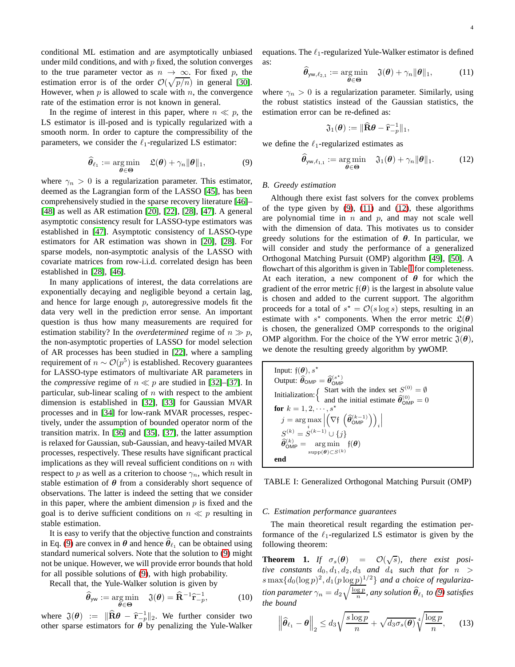conditional ML estimation and are asymptotically unbiased under mild conditions, and with  $p$  fixed, the solution converges to the true parameter vector as  $n \to \infty$ . For fixed p, the estimation error is of the order  $\mathcal{O}(\sqrt{p/n})$  in general [\[30\]](#page-13-22). However, when  $p$  is allowed to scale with  $n$ , the convergence rate of the estimation error is not known in general.

In the regime of interest in this paper, where  $n \ll p$ , the LS estimator is ill-posed and is typically regularized with a smooth norm. In order to capture the compressibility of the parameters, we consider the  $\ell_1$ -regularized LS estimator:

<span id="page-3-0"></span>
$$
\widehat{\boldsymbol{\theta}}_{\ell_1} := \underset{\boldsymbol{\theta} \in \boldsymbol{\Theta}}{\arg \min} \quad \mathfrak{L}(\boldsymbol{\theta}) + \gamma_n \|\boldsymbol{\theta}\|_1,\tag{9}
$$

where  $\gamma_n > 0$  is a regularization parameter. This estimator, deemed as the Lagrangian form of the LASSO [\[45\]](#page-13-37), has been comprehensively studied in the sparse recovery literature [\[46\]](#page-13-38)– [\[48\]](#page-13-39) as well as AR estimation [\[20\]](#page-13-13), [\[22\]](#page-13-15), [\[28\]](#page-13-20), [\[47\]](#page-13-40). A general asymptotic consistency result for LASSO-type estimators was established in [\[47\]](#page-13-40). Asymptotic consistency of LASSO-type estimators for AR estimation was shown in [\[20\]](#page-13-13), [\[28\]](#page-13-20). For sparse models, non-asymptotic analysis of the LASSO with covariate matrices from row-i.i.d. correlated design has been established in [\[28\]](#page-13-20), [\[46\]](#page-13-38).

In many applications of interest, the data correlations are exponentially decaying and negligible beyond a certain lag, and hence for large enough  $p$ , autoregressive models fit the data very well in the prediction error sense. An important question is thus how many measurements are required for estimation stability? In the *overdetermined* regime of  $n \gg p$ , the non-asymptotic properties of LASSO for model selection of AR processes has been studied in [\[22\]](#page-13-15), where a sampling requirement of  $n \sim \mathcal{O}(p^5)$  is established. Recovery guarantees for LASSO-type estimators of multivariate AR parameters in the *compressive* regime of  $n \ll p$  are studied in [\[32\]](#page-13-24)–[\[37\]](#page-13-29). In particular, sub-linear scaling of  $n$  with respect to the ambient dimension is established in [\[32\]](#page-13-24), [\[33\]](#page-13-25) for Gaussian MVAR processes and in [\[34\]](#page-13-26) for low-rank MVAR processes, respectively, under the assumption of bounded operator norm of the transition matrix. In [\[36\]](#page-13-28) and [\[35\]](#page-13-27), [\[37\]](#page-13-29), the latter assumption is relaxed for Gaussian, sub-Gaussian, and heavy-tailed MVAR processes, respectively. These results have significant practical implications as they will reveal sufficient conditions on  $n$  with respect to p as well as a criterion to choose  $\gamma_n$ , which result in stable estimation of  $\theta$  from a considerably short sequence of observations. The latter is indeed the setting that we consider in this paper, where the ambient dimension  $p$  is fixed and the goal is to derive sufficient conditions on  $n \ll p$  resulting in stable estimation.

It is easy to verify that the objective function and constraints in Eq. [\(9\)](#page-3-0) are convex in  $\theta$  and hence  $\widehat{\theta}_{\ell_1}$  can be obtained using standard numerical solvers. Note that the solution to [\(9\)](#page-3-0) might not be unique. However, we will provide error bounds that hold for all possible solutions of [\(9\)](#page-3-0), with high probability.

Recall that, the Yule-Walker solution is given by

$$
\widehat{\boldsymbol{\theta}}_{\mathsf{yw}} := \underset{\boldsymbol{\theta} \in \boldsymbol{\Theta}}{\arg \min} \quad \mathfrak{J}(\boldsymbol{\theta}) = \widehat{\mathbf{R}}^{-1} \widehat{\mathbf{r}}_{-p}^{-1}, \tag{10}
$$

where  $\mathfrak{J}(\theta) := \|\widehat{\mathbf{R}}\theta - \widehat{\mathbf{r}}_{-p}^{-1}\|_2$ . We further consider two other sparse estimators for  $\theta$  by penalizing the Yule-Walker

equations. The  $\ell_1$ -regularized Yule-Walker estimator is defined as:

<span id="page-3-1"></span>
$$
\widehat{\boldsymbol{\theta}}_{\mathsf{yw},\ell_{2,1}} := \underset{\boldsymbol{\theta} \in \boldsymbol{\Theta}}{\arg \min} \quad \mathfrak{J}(\boldsymbol{\theta}) + \gamma_n \|\boldsymbol{\theta}\|_1, \tag{11}
$$

where  $\gamma_n > 0$  is a regularization parameter. Similarly, using the robust statistics instead of the Gaussian statistics, the estimation error can be re-defined as:

$$
\mathfrak{J}_1(\boldsymbol{\theta}) := \|\widehat{\mathbf{R}}\boldsymbol{\theta} - \widehat{\mathbf{r}}_{-p}^{-1}\|_1,
$$

we define the  $\ell_1$ -regularized estimates as

<span id="page-3-2"></span>
$$
\widehat{\boldsymbol{\theta}}_{\mathsf{yw},\ell_{1,1}} := \underset{\boldsymbol{\theta} \in \boldsymbol{\Theta}}{\arg \min} \quad \mathfrak{J}_1(\boldsymbol{\theta}) + \gamma_n \|\boldsymbol{\theta}\|_1. \tag{12}
$$

#### *B. Greedy estimation*

Although there exist fast solvers for the convex problems of the type given by  $(9)$ ,  $(11)$  and  $(12)$ , these algorithms are polynomial time in  $n$  and  $p$ , and may not scale well with the dimension of data. This motivates us to consider greedy solutions for the estimation of  $\theta$ . In particular, we will consider and study the performance of a generalized Orthogonal Matching Pursuit (OMP) algorithm [\[49\]](#page-13-41), [\[50\]](#page-13-42). A flowchart of this algorithm is given in Table [I](#page-3-3) for completeness. At each iteration, a new component of  $\theta$  for which the gradient of the error metric  $f(\theta)$  is the largest in absolute value is chosen and added to the current support. The algorithm proceeds for a total of  $s^* = \mathcal{O}(s \log s)$  steps, resulting in an estimate with  $s^*$  components. When the error metric  $\mathfrak{L}(\theta)$ is chosen, the generalized OMP corresponds to the original OMP algorithm. For the choice of the YW error metric  $\mathfrak{J}(\theta)$ , we denote the resulting greedy algorithm by ywOMP.

<span id="page-3-3"></span>

| Input: $f(\boldsymbol{\theta})$ , $s^*$                                                                                                              |
|------------------------------------------------------------------------------------------------------------------------------------------------------|
| Output: $\hat{\theta}_{\text{OMP}} = \hat{\theta}_{\text{OMP}}^{(s^*)}$                                                                              |
| Initialization: $\begin{cases}$ Start with the index set $S^{(0)} = \emptyset$<br>and the initial estimate $\widehat{\theta}_{\text{OMP}}^{(0)} = 0$ |
|                                                                                                                                                      |
| for $k = 1, 2, \dots, s^*$                                                                                                                           |
| $j = \arg \max_{i} \left  \left( \nabla f \left( \widehat{\boldsymbol{\theta}}_{\sf OMP}^{(k-1)} \right) \right)_i \right $                          |
| $S^{(k)} = S^{(k-1)} \cup \{j\}$                                                                                                                     |
| $\label{eq:theta} \widehat{\pmb{\theta}}_{\sf OMP}^{(k)} = \quad \arg\min \quad \mathfrak{f}(\pmb{\theta})$                                          |
| $supp(\boldsymbol{\theta}) \subset S^{(k)}$                                                                                                          |
| end                                                                                                                                                  |

TABLE I: Generalized Orthogonal Matching Pursuit (OMP)

#### *C. Estimation performance guarantees*

The main theoretical result regarding the estimation performance of the  $\ell_1$ -regularized LS estimator is given by the following theorem:

<span id="page-3-4"></span>**Theorem 1.** *If*  $\sigma_s(\theta) = \mathcal{O}(\sqrt{s})$ *, there exist positive constants*  $d_0, d_1, d_2, d_3$  *and*  $d_4$  *such that for*  $n >$  $s \max\{d_0(\log p)^2, d_1(p \log p)^{1/2}\}$  and a choice of regulariza*tion parameter*  $\gamma_n = d_2 \sqrt{\frac{\log p}{n}}$ , any solution  $\widehat{\theta}_{\ell_1}$  to [\(9\)](#page-3-0) satisfies *the bound*

$$
\left\|\widehat{\boldsymbol{\theta}}_{\ell_1} - \boldsymbol{\theta}\right\|_2 \le d_3 \sqrt{\frac{s \log p}{n}} + \sqrt{d_3 \sigma_s(\boldsymbol{\theta})} \sqrt[4]{\frac{\log p}{n}},\qquad(13)
$$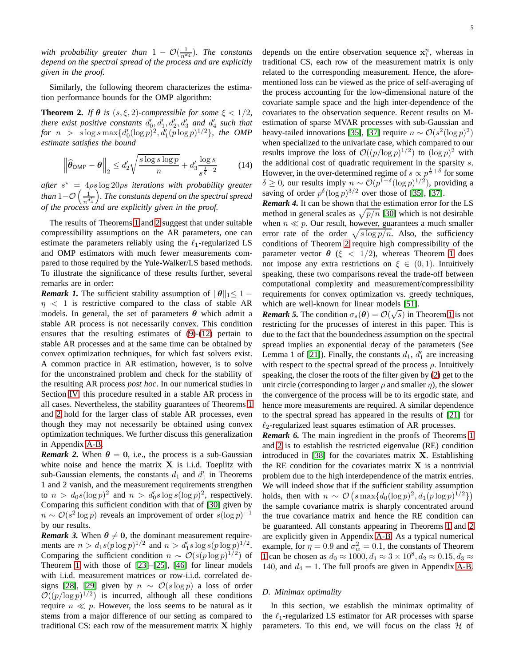*with probability greater than*  $1 - \mathcal{O}(\frac{1}{n^{d_4}})$ *. The constants depend on the spectral spread of the process and are explicitly given in the proof.*

Similarly, the following theorem characterizes the estimation performance bounds for the OMP algorithm:

<span id="page-4-0"></span>**Theorem 2.** *If*  $\theta$  *is* (*s*,  $\xi$ , 2)*-compressible for some*  $\xi$  < 1/2*, there exist positive constants*  $d'_0, d'_1, d'_2, d'_3$  *and*  $d'_4$  *such that*  $for n > s \log s \max\{d'_{0}(\log p)^{2}, d'_{1}(p \log p)^{1/2}\},\$  the OMP *estimate satisfies the bound*

$$
\left\|\widehat{\boldsymbol{\theta}}_{\textsf{OMP}} - \boldsymbol{\theta}\right\|_2 \le d_2' \sqrt{\frac{s \log s \log p}{n}} + d_3' \frac{\log s}{s^{\frac{1}{\xi}-2}} \tag{14}
$$

*after* s <sup>⋆</sup> = 4ρs log 20ρs *iterations with probability greater than*  $1-O\left(\frac{1}{n^d}\right)$  $\overline{n}$ <sup>d'</sup><sub>4</sub> *. The constants depend on the spectral spread of the process and are explicitly given in the proof.*

The results of Theorems [1](#page-3-4) and [2](#page-4-0) suggest that under suitable compressibility assumptions on the AR parameters, one can estimate the parameters reliably using the  $\ell_1$ -regularized LS and OMP estimators with much fewer measurements compared to those required by the Yule-Walker/LS based methods. To illustrate the significance of these results further, several remarks are in order:

*Remark 1.* The sufficient stability assumption of  $\|\theta\|_1 \leq 1 - \pi$  $\eta$  < 1 is restrictive compared to the class of stable AR models. In general, the set of parameters  $\theta$  which admit a stable AR process is not necessarily convex. This condition ensures that the resulting estimates of [\(9\)](#page-3-0)-[\(12\)](#page-3-2) pertain to stable AR processes and at the same time can be obtained by convex optimization techniques, for which fast solvers exist. A common practice in AR estimation, however, is to solve for the unconstrained problem and check for the stability of the resulting AR process *post hoc*. In our numerical studies in Section [IV,](#page-5-0) this procedure resulted in a stable AR process in all cases. Nevertheless, the stability guarantees of Theorems [1](#page-3-4) and [2](#page-4-0) hold for the larger class of stable AR processes, even though they may not necessarily be obtained using convex optimization techniques. We further discuss this generalization in Appendix [A-B.](#page-9-0)

*Remark 2.* When  $\theta = 0$ , i.e., the process is a sub-Gaussian white noise and hence the matrix  $X$  is i.i.d. Toeplitz with sub-Gaussian elements, the constants  $d_1$  and  $d'_1$  in Theorems 1 and 2 vanish, and the measurement requirements strengthen to  $n > d_0 s (\log p)^2$  and  $n > d'_0 s \log s (\log p)^2$ , respectively. Comparing this sufficient condition with that of [\[30\]](#page-13-22) given by  $n \sim \mathcal{O}(s^2 \log p)$  reveals an improvement of order  $s(\log p)^{-1}$ by our results.

*Remark 3.* When  $\theta \neq 0$ , the dominant measurement requirements are  $n > d_1 s (p \log p)^{1/2}$  and  $n > d'_1 s \log s (p \log p)^{1/2}$ . Comparing the sufficient condition  $n \sim \mathcal{O}(s(p \log p)^{1/2})$  of Theorem [1](#page-3-4) with those of [\[23\]](#page-13-16)–[\[25\]](#page-13-17), [\[46\]](#page-13-38) for linear models with i.i.d. measurement matrices or row-i.i.d. correlated de-signs [\[28\]](#page-13-20), [\[29\]](#page-13-21) given by  $n \sim \mathcal{O}(s \log p)$  a loss of order  $\mathcal{O}((p/\log p)^{1/2})$  is incurred, although all these conditions require  $n \ll p$ . However, the loss seems to be natural as it stems from a major difference of our setting as compared to traditional CS: each row of the measurement matrix  $X$  highly

depends on the entire observation sequence  $x_1^n$ , whereas in traditional CS, each row of the measurement matrix is only related to the corresponding measurement. Hence, the aforementioned loss can be viewed as the price of self-averaging of the process accounting for the low-dimensional nature of the covariate sample space and the high inter-dependence of the covariates to the observation sequence. Recent results on Mestimation of sparse MVAR processes with sub-Gaussian and heavy-tailed innovations [\[35\]](#page-13-27), [\[37\]](#page-13-29) require  $n \sim \mathcal{O}(s^2(\log p)^2)$ when specialized to the univariate case, which compared to our results improve the loss of  $\mathcal{O}((p/\log p)^{1/2})$  to  $(\log p)^2$  with the additional cost of quadratic requirement in the sparsity s. However, in the over-determined regime of  $s \propto p^{\frac{1}{2} + \delta}$  for some δ ≥ 0, our results imply  $n \sim \mathcal{O}(p^{1+\delta}(\log p)^{1/2})$ , providing a saving of order  $p^{\delta} (\log p)^{3/2}$  over those of [\[35\]](#page-13-27), [\[37\]](#page-13-29).

*Remark 4.* It can be shown that the estimation error for the LS method in general scales as  $\sqrt{p/n}$  [\[30\]](#page-13-22) which is not desirable when  $n \ll p$ . Our result, however, guarantees a much smaller error rate of the order  $\sqrt{s \log p/n}$ . Also, the sufficiency conditions of Theorem [2](#page-4-0) require high compressibility of the parameter vector  $\theta$  ( $\xi$  < [1](#page-3-4)/2), whereas Theorem 1 does not impose any extra restrictions on  $\xi \in (0,1)$ . Intuitively speaking, these two comparisons reveal the trade-off between computational complexity and measurement/compressibility requirements for convex optimization vs. greedy techniques, which are well-known for linear models [\[51\]](#page-13-43).

**Remark 5.** The condition  $\sigma_s(\theta) = \mathcal{O}(\sqrt{s})$  in Theorem [1](#page-3-4) is not restricting for the processes of interest in this paper. This is due to the fact that the boundedness assumption on the spectral spread implies an exponential decay of the parameters (See Lemma 1 of [\[21\]](#page-13-14)). Finally, the constants  $d_1$ ,  $d'_1$  are increasing with respect to the spectral spread of the process  $\rho$ . Intuitively speaking, the closer the roots of the filter given by [\(2\)](#page-1-2) get to the unit circle (corresponding to larger  $\rho$  and smaller  $\eta$ ), the slower the convergence of the process will be to its ergodic state, and hence more measurements are required. A similar dependence to the spectral spread has appeared in the results of [\[21\]](#page-13-14) for  $\ell_2$ -regularized least squares estimation of AR processes.

*Remark 6.* The main ingredient in the proofs of Theorems [1](#page-3-4) and [2](#page-4-0) is to establish the restricted eigenvalue (RE) condition introduced in  $[38]$  for the covariates matrix **X**. Establishing the RE condition for the covariates matrix  $X$  is a nontrivial problem due to the high interdependence of the matrix entries. We will indeed show that if the sufficient stability assumption holds, then with  $n \sim \mathcal{O}\left(s \max\{d_0(\log p)^2, d_1(p \log p)^{1/2}\}\right)$ the sample covariance matrix is sharply concentrated around the true covariance matrix and hence the RE condition can be guaranteed. All constants appearing in Theorems [1](#page-3-4) and [2](#page-4-0) are explicitly given in Appendix [A-B.](#page-9-0) As a typical numerical example, for  $\eta = 0.9$  and  $\sigma_w^2 = 0.1$ , the constants of Theorem [1](#page-3-4) can be chosen as  $d_0 \approx 1000, d_1 \approx 3 \times 10^8, d_2 \approx 0.15, d_3 \approx$ 140, and  $d_4 = 1$ . The full proofs are given in Appendix [A-B.](#page-9-0)

#### *D. Minimax optimality*

In this section, we establish the minimax optimality of the  $\ell_1$ -regularized LS estimator for AR processes with sparse parameters. To this end, we will focus on the class  $H$  of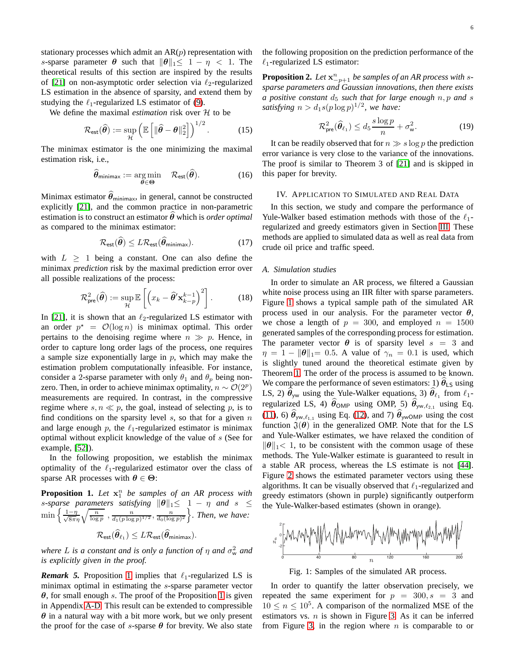stationary processes which admit an  $AR(p)$  representation with s-sparse parameter  $\theta$  such that  $\|\theta\|_1 \leq 1 - \eta < 1$ . The theoretical results of this section are inspired by the results of [\[21\]](#page-13-14) on non-asymptotic order selection via  $\ell_2$ -regularized LS estimation in the absence of sparsity, and extend them by studying the  $\ell_1$ -regularized LS estimator of [\(9\)](#page-3-0).

We define the maximal *estimation* risk over  $H$  to be

$$
\mathcal{R}_{\text{est}}(\widehat{\boldsymbol{\theta}}) := \sup_{\mathcal{H}} \left( \mathbb{E} \left[ \| \widehat{\boldsymbol{\theta}} - \boldsymbol{\theta} \|_2^2 \right] \right)^{1/2} . \tag{15}
$$

The minimax estimator is the one minimizing the maximal estimation risk, i.e.,

$$
\widehat{\boldsymbol{\theta}}_{\text{minimax}} := \underset{\boldsymbol{\theta} \in \boldsymbol{\Theta}}{\arg \min} \quad \mathcal{R}_{\text{est}}(\widehat{\boldsymbol{\theta}}). \tag{16}
$$

Minimax estimator  $\hat{\theta}_{\text{minimax}}$ , in general, cannot be constructed explicitly [\[21\]](#page-13-14), and the common practice in non-parametric estimation is to construct an estimator  $\theta$  which is *order optimal* as compared to the minimax estimator:

$$
\mathcal{R}_{\text{est}}(\hat{\boldsymbol{\theta}}) \leq L \mathcal{R}_{\text{est}}(\hat{\boldsymbol{\theta}}_{\text{minimax}}). \tag{17}
$$

with  $L \geq 1$  being a constant. One can also define the minimax *prediction* risk by the maximal prediction error over all possible realizations of the process:

$$
\mathcal{R}_{\text{pre}}^2(\widehat{\boldsymbol{\theta}}) := \sup_{\mathcal{H}} \mathbb{E}\left[\left(x_k - \widehat{\boldsymbol{\theta}}' \mathbf{x}_{k-p}^{k-1}\right)^2\right].\tag{18}
$$

In [\[21\]](#page-13-14), it is shown that an  $\ell_2$ -regularized LS estimator with an order  $p^* = \mathcal{O}(\log n)$  is minimax optimal. This order pertains to the denoising regime where  $n \gg p$ . Hence, in order to capture long order lags of the process, one requires a sample size exponentially large in  $p$ , which may make the estimation problem computationally infeasible. For instance, consider a 2-sparse parameter with only  $\theta_1$  and  $\theta_p$  being nonzero. Then, in order to achieve minimax optimality,  $n \sim \mathcal{O}(2^p)$ measurements are required. In contrast, in the compressive regime where  $s, n \ll p$ , the goal, instead of selecting p, is to find conditions on the sparsity level  $s$ , so that for a given  $n$ and large enough p, the  $\ell_1$ -regularized estimator is minimax optimal without explicit knowledge of the value of s (See for example, [\[52\]](#page-13-44)).

In the following proposition, we establish the minimax optimality of the  $\ell_1$ -regularized estimator over the class of sparse AR processes with  $\theta \in \Theta$ :

<span id="page-5-1"></span>**Proposition 1.** Let  $x_1^n$  be samples of an AR process with *s*-sparse parameters satisfying  $||\theta||_1 \leq 1 - \eta$  and s  $\leq$  $\min\left\{\frac{1-\eta}{\sqrt{8\pi\eta}}\sqrt{\frac{n}{\log p}}\right.,\frac{n}{d_1(p\log p)^{1/2}},\frac{n}{d_0(\log p)^2}\right\}.$  Then, we have:  $\mathcal{R}_{\mathsf{est}}(\widehat{\boldsymbol{\theta}}_{\ell_1}) \leq L \mathcal{R}_{\mathsf{est}}(\widehat{\boldsymbol{\theta}}_{\mathsf{minimax}}).$ 

where L is a constant and is only a function of  $\eta$  and  $\sigma_{\rm w}^2$  and *is explicitly given in the proof.*

*Remark 5.* Proposition [1](#page-5-1) implies that  $\ell_1$ -regularized LS is minimax optimal in estimating the *s*-sparse parameter vector  $\theta$ , for small enough s. The proof of the Proposition [1](#page-5-1) is given in Appendix [A-D.](#page-11-0) This result can be extended to compressible  $\theta$  in a natural way with a bit more work, but we only present the proof for the case of s-sparse  $\theta$  for brevity. We also state

the following proposition on the prediction performance of the  $\ell_1$ -regularized LS estimator:

**Proposition 2.** Let  $x_{p+1}^n$  be samples of an AR process with s*sparse parameters and Gaussian innovations, then there exists a positive constant*  $d_5$  *such that for large enough*  $n, p$  *and s* satisfying  $n > d_1 s (p \log p)^{1/2}$ , we have:

$$
\mathcal{R}_{\text{pre}}^2(\widehat{\boldsymbol{\theta}}_{\ell_1}) \le d_5 \frac{s \log p}{n} + \sigma_{\text{w}}^2.
$$
 (19)

It can be readily observed that for  $n \gg s \log p$  the prediction error variance is very close to the variance of the innovations. The proof is similar to Theorem 3 of [\[21\]](#page-13-14) and is skipped in this paper for brevity.

#### <span id="page-5-0"></span>IV. APPLICATION TO SIMULATED AND REAL DATA

In this section, we study and compare the performance of Yule-Walker based estimation methods with those of the  $\ell_1$ regularized and greedy estimators given in Section [III.](#page-2-0) These methods are applied to simulated data as well as real data from crude oil price and traffic speed.

## *A. Simulation studies*

In order to simulate an AR process, we filtered a Gaussian white noise process using an IIR filter with sparse parameters. Figure [1](#page-5-2) shows a typical sample path of the simulated AR process used in our analysis. For the parameter vector  $\theta$ , we chose a length of  $p = 300$ , and employed  $n = 1500$ generated samples of the corresponding process for estimation. The parameter vector  $\theta$  is of sparsity level  $s = 3$  and  $\eta = 1 - ||\theta||_1 = 0.5$ . A value of  $\gamma_n = 0.1$  is used, which is slightly tuned around the theoretical estimate given by Theorem [1.](#page-3-4) The order of the process is assumed to be known. We compare the performance of seven estimators: 1)  $\theta_{LS}$  using LS, 2)  $\widehat{\theta}_{yw}$  using the Yule-Walker equations, 3)  $\widehat{\theta}_{\ell_1}$  from  $\ell_1$ regularized LS, 4)  $\hat{\theta}_{OMP}$  using OMP, 5)  $\hat{\theta}_{yw,\ell_{2,1}}$  using Eq. [\(11\)](#page-3-1), 6)  $\hat{\theta}_{yw,\ell_{1,1}}$  using Eq. [\(12\)](#page-3-2), and 7)  $\hat{\theta}_{vwOMP}$  using the cost function  $\mathfrak{J}(\theta)$  in the generalized OMP. Note that for the LS and Yule-Walker estimates, we have relaxed the condition of  $\|\theta\|_1$ < 1, to be consistent with the common usage of these methods. The Yule-Walker estimate is guaranteed to result in a stable AR process, whereas the LS estimate is not [\[44\]](#page-13-36). Figure [2](#page-6-0) shows the estimated parameter vectors using these algorithms. It can be visually observed that  $\ell_1$ -regularized and greedy estimators (shown in purple) significantly outperform the Yule-Walker-based estimates (shown in orange).

<span id="page-5-2"></span>

Fig. 1: Samples of the simulated AR process.

In order to quantify the latter observation precisely, we repeated the same experiment for  $p = 300, s = 3$  and  $10 \le n \le 10^5$ . A comparison of the normalized MSE of the estimators vs.  $n$  is shown in Figure [3.](#page-6-1) As it can be inferred from Figure [3,](#page-6-1) in the region where  $n$  is comparable to or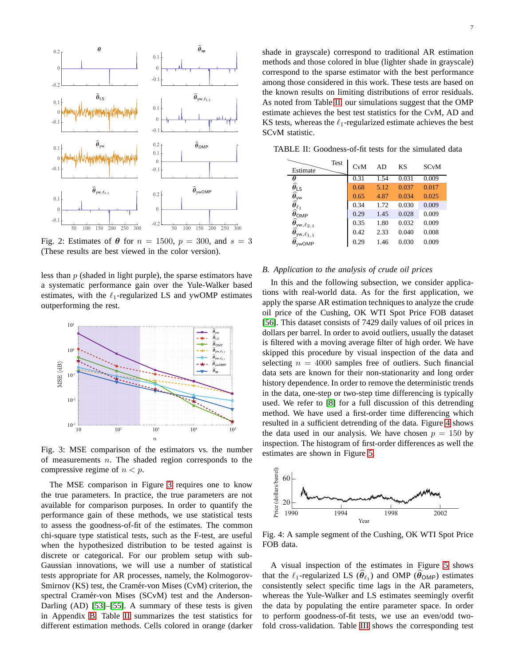<span id="page-6-0"></span>

Fig. 2: Estimates of  $\theta$  for  $n = 1500$ ,  $p = 300$ , and  $s = 3$ (These results are best viewed in the color version).

less than p (shaded in light purple), the sparse estimators have a systematic performance gain over the Yule-Walker based estimates, with the  $\ell_1$ -regularized LS and ywOMP estimates outperforming the rest.

<span id="page-6-1"></span>

Fig. 3: MSE comparison of the estimators vs. the number of measurements  $n$ . The shaded region corresponds to the compressive regime of  $n < p$ .

The MSE comparison in Figure [3](#page-6-1) requires one to know the true parameters. In practice, the true parameters are not available for comparison purposes. In order to quantify the performance gain of these methods, we use statistical tests to assess the goodness-of-fit of the estimates. The common chi-square type statistical tests, such as the F-test, are useful when the hypothesized distribution to be tested against is discrete or categorical. For our problem setup with sub-Gaussian innovations, we will use a number of statistical tests appropriate for AR processes, namely, the Kolmogorov-Smirnov (KS) test, the Cramér-von Mises (CvM) criterion, the spectral Cramér-von Mises (SCvM) test and the Anderson-Darling (AD) [\[53\]](#page-13-45)–[\[55\]](#page-14-0). A summary of these tests is given in Appendix [B.](#page-12-0) Table [II](#page-6-2) summarizes the test statistics for different estimation methods. Cells colored in orange (darker shade in grayscale) correspond to traditional AR estimation methods and those colored in blue (lighter shade in grayscale) correspond to the sparse estimator with the best performance among those considered in this work. These tests are based on the known results on limiting distributions of error residuals. As noted from Table [II,](#page-6-2) our simulations suggest that the OMP estimate achieves the best test statistics for the CvM, AD and KS tests, whereas the  $\ell_1$ -regularized estimate achieves the best SCvM statistic.

<span id="page-6-2"></span>TABLE II: Goodness-of-fit tests for the simulated data

| Test<br>Estimate                                                                                                                                                         | CvM  | AD.  | KS    | <b>SCvM</b> |
|--------------------------------------------------------------------------------------------------------------------------------------------------------------------------|------|------|-------|-------------|
| θ                                                                                                                                                                        | 0.31 | 1.54 | 0.031 | 0.009       |
| $\widehat{\theta}_{\textsf{LS}}$                                                                                                                                         | 0.68 | 5.12 | 0.037 | 0.017       |
|                                                                                                                                                                          | 0.65 | 4.87 | 0.034 | 0.025       |
|                                                                                                                                                                          | 0.34 | 1.72 | 0.030 | 0.009       |
|                                                                                                                                                                          | 0.29 | 1.45 | 0.028 | 0.009       |
|                                                                                                                                                                          | 0.35 | 1.80 | 0.032 | 0.009       |
| $\hat{\theta}_{\text{yw}}$<br>$\hat{\theta}_{\ell_1}$<br>$\hat{\theta}_{\text{OMP}}$<br>$\hat{\theta}_{\text{yw}, \ell_{2,1}}$<br>$\hat{\theta}_{\text{yw}, \ell_{1,1}}$ | 0.42 | 2.33 | 0.040 | 0.008       |
| wOMP                                                                                                                                                                     | 0.29 | 1.46 | 0.030 | 0.009       |

#### *B. Application to the analysis of crude oil prices*

In this and the following subsection, we consider applications with real-world data. As for the first application, we apply the sparse AR estimation techniques to analyze the crude oil price of the Cushing, OK WTI Spot Price FOB dataset [\[56\]](#page-14-1). This dataset consists of 7429 daily values of oil prices in dollars per barrel. In order to avoid outliers, usually the dataset is filtered with a moving average filter of high order. We have skipped this procedure by visual inspection of the data and selecting  $n = 4000$  samples free of outliers. Such financial data sets are known for their non-stationarity and long order history dependence. In order to remove the deterministic trends in the data, one-step or two-step time differencing is typically used. We refer to [\[8\]](#page-13-2) for a full discussion of this detrending method. We have used a first-order time differencing which resulted in a sufficient detrending of the data. Figure [4](#page-6-3) shows the data used in our analysis. We have chosen  $p = 150$  by inspection. The histogram of first-order differences as well the estimates are shown in Figure [5.](#page-7-0)

<span id="page-6-3"></span>

Fig. 4: A sample segment of the Cushing, OK WTI Spot Price FOB data.

A visual inspection of the estimates in Figure [5](#page-7-0) shows that the  $\ell_1$ -regularized LS  $(\widehat{\theta}_{\ell_1})$  and OMP  $(\widehat{\theta}_{OMP})$  estimates consistently select specific time lags in the AR parameters, whereas the Yule-Walker and LS estimates seemingly overfit the data by populating the entire parameter space. In order to perform goodness-of-fit tests, we use an even/odd twofold cross-validation. Table [III](#page-7-1) shows the corresponding test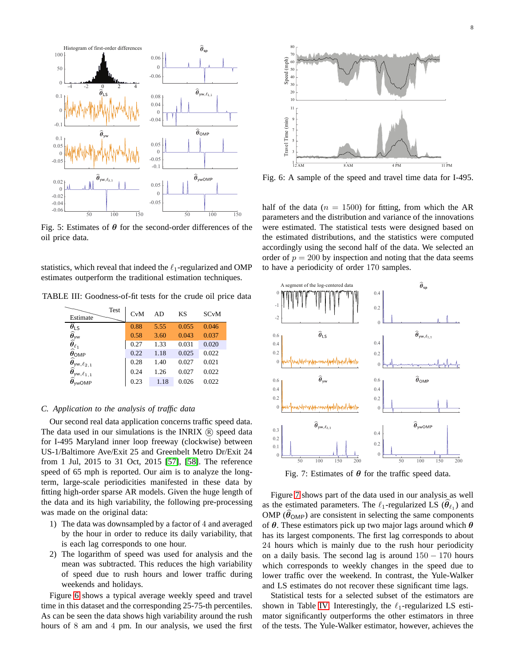<span id="page-7-0"></span>

Fig. 5: Estimates of  $\theta$  for the second-order differences of the oil price data.

statistics, which reveal that indeed the  $\ell_1$ -regularized and OMP estimates outperform the traditional estimation techniques.

<span id="page-7-1"></span>TABLE III: Goodness-of-fit tests for the crude oil price data

| <b>Test</b><br>Estimate                                                                                                                                     | CvM  | AD   | KS    | <b>SC<sub>v</sub>M</b> |
|-------------------------------------------------------------------------------------------------------------------------------------------------------------|------|------|-------|------------------------|
|                                                                                                                                                             | 0.88 | 5.55 | 0.055 | 0.046                  |
|                                                                                                                                                             | 0.58 | 3.60 | 0.043 | 0.037                  |
|                                                                                                                                                             | 0.27 | 1.33 | 0.031 | 0.020                  |
| $\begin{matrix} \widehat{\theta}_{\textsf{LS}}\\ \widehat{\theta}_{\textsf{yw}}\\ \widehat{\theta}_{\ell_1}\\ \widehat{\theta}_{\textsf{OMP}} \end{matrix}$ | 0.22 | 1.18 | 0.025 | 0.022                  |
|                                                                                                                                                             | 0.28 | 1.40 | 0.027 | 0.021                  |
| $\hat{\theta}_{yw,\ell_{2,1}}$ $\hat{\theta}_{yw,\ell_{1,1}}$                                                                                               | 0.24 | 1.26 | 0.027 | 0.022                  |
| <b>wOMP</b>                                                                                                                                                 | 0.23 | 1.18 | 0.026 | 0.022                  |

#### *C. Application to the analysis of traffic data*

Our second real data application concerns traffic speed data. The data used in our simulations is the INRIX  $(R)$  speed data for I-495 Maryland inner loop freeway (clockwise) between US-1/Baltimore Ave/Exit 25 and Greenbelt Metro Dr/Exit 24 from 1 Jul, 2015 to 31 Oct, 2015 [\[57\]](#page-14-2), [\[58\]](#page-14-3). The reference speed of 65 mph is reported. Our aim is to analyze the longterm, large-scale periodicities manifested in these data by fitting high-order sparse AR models. Given the huge length of the data and its high variability, the following pre-processing was made on the original data:

- 1) The data was downsampled by a factor of 4 and averaged by the hour in order to reduce its daily variability, that is each lag corresponds to one hour.
- 2) The logarithm of speed was used for analysis and the mean was subtracted. This reduces the high variability of speed due to rush hours and lower traffic during weekends and holidays.

Figure [6](#page-7-2) shows a typical average weekly speed and travel time in this dataset and the corresponding 25-75-th percentiles. As can be seen the data shows high variability around the rush hours of 8 am and 4 pm. In our analysis, we used the first

<span id="page-7-2"></span>

Fig. 6: A sample of the speed and travel time data for I-495.

half of the data ( $n = 1500$ ) for fitting, from which the AR parameters and the distribution and variance of the innovations were estimated. The statistical tests were designed based on the estimated distributions, and the statistics were computed accordingly using the second half of the data. We selected an order of  $p = 200$  by inspection and noting that the data seems to have a periodicity of order 170 samples.

<span id="page-7-3"></span>

Fig. 7: Estimates of  $\theta$  for the traffic speed data.

Figure [7](#page-7-3) shows part of the data used in our analysis as well as the estimated parameters. The  $\ell_1$ -regularized LS  $(\widehat{\theta}_{\ell_1})$  and OMP ( $\theta_{\text{OMP}}$ ) are consistent in selecting the same components of  $\theta$ . These estimators pick up two major lags around which  $\theta$ has its largest components. The first lag corresponds to about 24 hours which is mainly due to the rush hour periodicity on a daily basis. The second lag is around  $150 - 170$  hours which corresponds to weekly changes in the speed due to lower traffic over the weekend. In contrast, the Yule-Walker and LS estimates do not recover these significant time lags.

Statistical tests for a selected subset of the estimators are shown in Table [IV.](#page-8-2) Interestingly, the  $\ell_1$ -regularized LS estimator significantly outperforms the other estimators in three of the tests. The Yule-Walker estimator, however, achieves the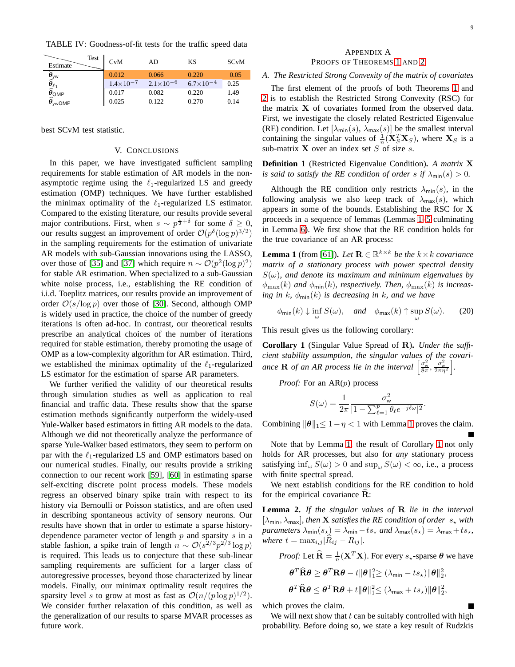<span id="page-8-2"></span>TABLE IV: Goodness-of-fit tests for the traffic speed data

| Test<br>Estimate                                                                                                                                                | CvM                  | AD                   | KS                 | <b>SC<sub>v</sub>M</b> |
|-----------------------------------------------------------------------------------------------------------------------------------------------------------------|----------------------|----------------------|--------------------|------------------------|
|                                                                                                                                                                 | 0.012                | 0.066                | 0.220              | 0.05                   |
|                                                                                                                                                                 | $1.4 \times 10^{-7}$ | $2.1 \times 10^{-6}$ | $6.7\times10^{-4}$ | 0.25                   |
|                                                                                                                                                                 | 0.017                | 0.082                | 0.220              | 1.49                   |
| $\widehat{\widehat{\theta}}_{\mathsf{yw}}$<br>$\widehat{\widehat{\theta}}_{\ell_1}$<br>$\widehat{\theta}_{\mathsf{OMP}}$<br>$\widehat{\theta}_{\mathsf{ywOMP}}$ | 0.025                | 0.122                | 0.270              | 0.14                   |

<span id="page-8-0"></span>best SCvM test statistic.

#### V. CONCLUSIONS

In this paper, we have investigated sufficient sampling requirements for stable estimation of AR models in the nonasymptotic regime using the  $\ell_1$ -regularized LS and greedy estimation (OMP) techniques. We have further established the minimax optimality of the  $\ell_1$ -regularized LS estimator. Compared to the existing literature, our results provide several major contributions. First, when  $s \sim p^{\frac{1}{2} + \delta}$  for some  $\delta \geq 0$ , our results suggest an improvement of order  $\mathcal{O}(p^{\delta}(\log p)^{3/2})$ in the sampling requirements for the estimation of univariate AR models with sub-Gaussian innovations using the LASSO, over those of [\[35\]](#page-13-27) and [\[37\]](#page-13-29) which require  $n \sim \mathcal{O}(p^2(\log p)^2)$ for stable AR estimation. When specialized to a sub-Gaussian white noise process, i.e., establishing the RE condition of i.i.d. Toeplitz matrices, our results provide an improvement of order  $O(s/\log p)$  over those of [\[30\]](#page-13-22). Second, although OMP is widely used in practice, the choice of the number of greedy iterations is often ad-hoc. In contrast, our theoretical results prescribe an analytical choices of the number of iterations required for stable estimation, thereby promoting the usage of OMP as a low-complexity algorithm for AR estimation. Third, we established the minimax optimality of the  $\ell_1$ -regularized LS estimator for the estimation of sparse AR parameters.

We further verified the validity of our theoretical results through simulation studies as well as application to real financial and traffic data. These results show that the sparse estimation methods significantly outperform the widely-used Yule-Walker based estimators in fitting AR models to the data. Although we did not theoretically analyze the performance of sparse Yule-Walker based estimators, they seem to perform on par with the  $\ell_1$ -regularized LS and OMP estimators based on our numerical studies. Finally, our results provide a striking connection to our recent work [\[59\]](#page-14-4), [\[60\]](#page-14-5) in estimating sparse self-exciting discrete point process models. These models regress an observed binary spike train with respect to its history via Bernoulli or Poisson statistics, and are often used in describing spontaneous activity of sensory neurons. Our results have shown that in order to estimate a sparse historydependence parameter vector of length  $p$  and sparsity  $s$  in a stable fashion, a spike train of length  $n \sim \mathcal{O}(s^{2/3} p^{2/3} \log p)$ is required. This leads us to conjecture that these sub-linear sampling requirements are sufficient for a larger class of autoregressive processes, beyond those characterized by linear models. Finally, our minimax optimality result requires the sparsity level s to grow at most as fast as  $O(n/(p \log p)^{1/2})$ . We consider further relaxation of this condition, as well as the generalization of our results to sparse MVAR processes as future work.

#### APPENDIX A PROOFS OF THEOREMS [1](#page-3-4) AND [2](#page-4-0)

#### *A. The Restricted Strong Convexity of the matrix of covariates*

The first element of the proofs of both Theorems [1](#page-3-4) and [2](#page-4-0) is to establish the Restricted Strong Convexity (RSC) for the matrix X of covariates formed from the observed data. First, we investigate the closely related Restricted Eigenvalue (RE) condition. Let  $[\lambda_{\min}(s), \lambda_{\max}(s)]$  be the smallest interval containing the singular values of  $\frac{1}{n}(\mathbf{X}_S^T \mathbf{X}_S)$ , where  $\mathbf{X}_S$  is a sub-matrix  $X$  over an index set  $S$  of size  $s$ .

**Definition 1** (Restricted Eigenvalue Condition)**.** *A matrix* X *is said to satisfy the RE condition of order s if*  $\lambda_{\min}(s) > 0$ *.* 

Although the RE condition only restricts  $\lambda_{\min}(s)$ , in the following analysis we also keep track of  $\lambda_{\text{max}}(s)$ , which appears in some of the bounds. Establishing the RSC for X proceeds in a sequence of lemmas (Lemmas [1](#page-8-3)[–5](#page-9-1) culminating in Lemma [6\)](#page-9-2). We first show that the RE condition holds for the true covariance of an AR process:

<span id="page-8-3"></span>**Lemma 1** (from [\[61\]](#page-14-6)). *Let*  $\mathbf{R} \in \mathbb{R}^{k \times k}$  *be the*  $k \times k$  *covariance matrix of a stationary process with power spectral density*  $S(\omega)$ , and denote its maximum and minimum eigenvalues by  $\phi_{\text{max}}(k)$  and  $\phi_{\text{min}}(k)$ , respectively. Then,  $\phi_{\text{max}}(k)$  is increas*ing in* k,  $\phi_{\text{min}}(k)$  *is decreasing in* k, and we have

$$
\phi_{\min}(k) \downarrow \inf_{\omega} S(\omega), \quad \text{and} \quad \phi_{\max}(k) \uparrow \sup_{\omega} S(\omega). \tag{20}
$$

This result gives us the following corollary:

<span id="page-8-1"></span>**Corollary 1** (Singular Value Spread of R)**.** *Under the sufficient stability assumption, the singular values of the covari*ance **R** of an AR process lie in the interval  $\left[\frac{\sigma_w^2}{8\pi}, \frac{\sigma_w^2}{2\pi\eta^2}\right]$ i *.*

*Proof:* For an AR(p) process

$$
S(\omega) = \frac{1}{2\pi} \frac{\sigma_{\mathsf{w}}^2}{|1 - \sum_{\ell=1}^p \theta_\ell e^{-j\ell\omega}|^2}
$$

.

Combining  $\|\theta\|_1 \leq 1 - \eta < 1$  $\|\theta\|_1 \leq 1 - \eta < 1$  $\|\theta\|_1 \leq 1 - \eta < 1$  with Lemma 1 proves the claim.

Note that by Lemma [1,](#page-8-3) the result of Corollary [1](#page-8-3) not only holds for AR processes, but also for *any* stationary process satisfying  $\inf_{\omega} S(\omega) > 0$  and  $\sup_{\omega} S(\omega) < \infty$ , i.e., a process with finite spectral spread.

We next establish conditions for the RE condition to hold for the empirical covariance  $\mathbf{R}$ :

<span id="page-8-4"></span>**Lemma 2.** *If the singular values of* R *lie in the interval*  $[\lambda_{\min}, \lambda_{\max}]$ , then **X** satisfies the RE condition of order  $s_{\star}$  with *parameters*  $\lambda_{\min}(s_{\star}) = \lambda_{\min} - ts_{\star}$  *and*  $\lambda_{\max}(s_{\star}) = \lambda_{\max} + ts_{\star}$ , *where*  $t = \max_{i,j} |R_{ij} - R_{ij}|$ *.* 

*Proof:* Let  $\widehat{\mathbf{R}} = \frac{1}{n}(\mathbf{X}^T \mathbf{X})$ . For every  $s_{\star}$ -sparse  $\boldsymbol{\theta}$  we have

$$
\label{eq:theta} \begin{aligned} \pmb{\theta}^T\widehat{\mathbf{R}}\pmb{\theta} &\geq \pmb{\theta}^T\mathbf{R}\pmb{\theta}-t\|\pmb{\theta}\|_1^2\!\geq (\lambda_{\text{min}}-ts_{\star})\|\pmb{\theta}\|_2^2,\\ \pmb{\theta}^T\widehat{\mathbf{R}}\pmb{\theta} &\leq \pmb{\theta}^T\mathbf{R}\pmb{\theta}+t\|\pmb{\theta}\|_1^2\!\leq (\lambda_{\text{max}}+ts_{\star})\|\pmb{\theta}\|_2^2, \end{aligned}
$$

which proves the claim.

We will next show that  $t$  can be suitably controlled with high probability. Before doing so, we state a key result of Rudzkis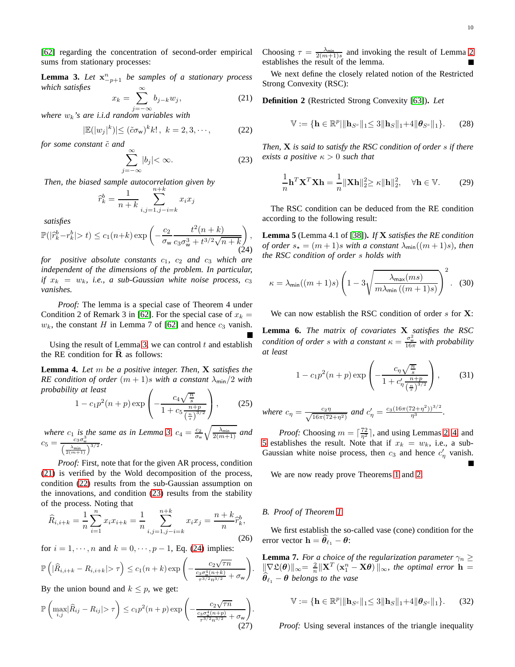[\[62\]](#page-14-7) regarding the concentration of second-order empirical sums from stationary processes:

<span id="page-9-3"></span>**Lemma 3.** *Let*  $x_{-p+1}^n$  *be samples of a stationary process which satisfies*

<span id="page-9-4"></span>
$$
x_k = \sum_{j=-\infty}^{\infty} b_{j-k} w_j,
$$
 (21)

j=−∞ *where* wk*'s are i.i.d random variables with*

<span id="page-9-5"></span>
$$
|\mathbb{E}(|w_j|^k)| \le (\tilde{c}\sigma_{\mathsf{w}})^k k!, \ k = 2, 3, \cdots,
$$
 (22)

*for some constant*  $\tilde{c}$  *and* 

<span id="page-9-6"></span>
$$
\sum_{j=-\infty}^{\infty} |b_j| < \infty. \tag{23}
$$

*Then, the biased sample autocorrelation given by*

$$
\widehat{r}_k^b = \frac{1}{n+k} \sum_{i,j=1,j-i=k}^{n+k} x_i x_j
$$

*satisfies*

<span id="page-9-7"></span>
$$
\mathbb{P}(|\hat{r}_k^b - r_k^b| > t) \le c_1(n+k) \exp\left(-\frac{c_2}{\sigma_w} \frac{t^2(n+k)}{c_3 \sigma_w^3 + t^{3/2} \sqrt{n+k}}\right),\tag{24}
$$

*for positive absolute constants*  $c_1$ *,*  $c_2$  *and*  $c_3$  *which are independent of the dimensions of the problem. In particular, if*  $x_k = w_k$ , *i.e.*, *a* sub-Gaussian white noise process,  $c_3$ *vanishes.*

*Proof:* The lemma is a special case of Theorem 4 under Condition 2 of Remark 3 in [\[62\]](#page-14-7). For the special case of  $x_k =$  $w_k$ , the constant H in Lemma 7 of [\[62\]](#page-14-7) and hence  $c_3$  vanish.

Using the result of Lemma [3,](#page-9-3) we can control  $t$  and establish the RE condition for  $\bf{R}$  as follows:

<span id="page-9-8"></span>**Lemma 4.** *Let* m *be a positive integer. Then,* X *satisfies the RE condition of order*  $(m + 1)s$  *with a constant*  $\lambda_{\min}/2$  *with probability at least*  $\sqrt{ }$  $\setminus$ 

$$
1 - c_1 p^2 (n+p) \exp\left(-\frac{c_4 \sqrt{\frac{n}{s}}}{1 + c_5 \frac{n+p}{(\frac{n}{s})^{3/2}}}\right),\tag{25}
$$

*where*  $c_1$  *is the same as in Lemma [3,](#page-9-3)*  $c_4 = \frac{c_2}{\sigma_w} \sqrt{\frac{\lambda_{\min}}{2(m+1)}}$  *and*  $c_5 = \frac{c_3 \sigma_{\rm w}^3}{\left(\frac{\lambda_{\rm min}}{2(m+1)}\right)^{3/2}}.$ 

*Proof:* First, note that for the given AR process, condition [\(21\)](#page-9-4) is verified by the Wold decomposition of the process, condition [\(22\)](#page-9-5) results from the sub-Gaussian assumption on the innovations, and condition [\(23\)](#page-9-6) results from the stability of the process. Noting that

$$
\widehat{R}_{i,i+k} = \frac{1}{n} \sum_{i=1}^{n} x_i x_{i+k} = \frac{1}{n} \sum_{i,j=1,j-i=k}^{n+k} x_i x_j = \frac{n+k}{n} \widehat{r}_k^b,
$$
\n(26)

for  $i = 1, \dots, n$  and  $k = 0, \dots, p - 1$ , Eq. [\(24\)](#page-9-7) implies:

$$
\mathbb{P}\left(|\widehat{R}_{i,i+k} - R_{i,i+k}| > \tau\right) \leq c_1(n+k) \exp\left(-\frac{c_2\sqrt{\tau n}}{\frac{c_3\sigma_w^4(n+k)}{\tau^{3/2}n^{3/2}} + \sigma_w}\right)
$$

By the union bound and  $k \leq p$ , we get:

$$
\mathbb{P}\left(\max_{i,j}|\widehat{R}_{ij} - R_{ij}| > \tau\right) \le c_1 p^2 (n+p) \exp\left(-\frac{c_2 \sqrt{\tau n}}{\frac{c_3 \sigma_w^4 (n+p)}{\tau^{3/2} n^{3/2}} + \sigma_w}\right)
$$
(27)

Choosing  $\tau = \frac{\lambda_{\min}}{2(m+1)s}$  and invoking the result of Lemma [2](#page-8-4) establishes the result of the lemma.

We next define the closely related notion of the Restricted Strong Convexity (RSC):

**Definition 2** (Restricted Strong Convexity [\[63\]](#page-14-8))**.** *Let*

$$
\mathbb{V} := \{ \mathbf{h} \in \mathbb{R}^p | \| \mathbf{h}_{S^c} \|_1 \leq 3 \| \mathbf{h}_S \|_1 + 4 \| \boldsymbol{\theta}_{S^c} \|_1 \}. \tag{28}
$$

*Then,* X *is said to satisfy the RSC condition of order* s *if there exists a positive*  $\kappa > 0$  *such that* 

$$
\frac{1}{n}\mathbf{h}^T\mathbf{X}^T\mathbf{X}\mathbf{h} = \frac{1}{n}\|\mathbf{X}\mathbf{h}\|_2^2 \ge \kappa \|\mathbf{h}\|_2^2, \quad \forall \mathbf{h} \in \mathbb{V}.
$$
 (29)

The RSC condition can be deduced from the RE condition according to the following result:

<span id="page-9-1"></span>**Lemma 5** (Lemma 4.1 of [\[38\]](#page-13-30))**.** *If* X *satisfies the RE condition of order*  $s_{\star} = (m+1)s$  *with a constant*  $\lambda_{\min}((m+1)s)$ *, then the RSC condition of order* s *holds with*

$$
\kappa = \lambda_{\min}((m+1)s) \left(1 - 3\sqrt{\frac{\lambda_{\max}(ms)}{m\lambda_{\min}((m+1)s)}}\right)^2.
$$
 (30)

We can now establish the RSC condition of order  $s$  for  $X$ :

<span id="page-9-2"></span>**Lemma 6.** *The matrix of covariates* X *satisfies the RSC condition of order s with a constant*  $\kappa = \frac{\sigma_w^2}{16\pi}$  *with probability at least*

$$
1 - c_1 p^2 (n+p) \exp\left(-\frac{c_\eta \sqrt{\frac{n}{s}}}{1 + c'_\eta \frac{n+p}{(\frac{n}{s})^{3/2}}}\right),\tag{31}
$$

where 
$$
c_{\eta} = \frac{c_2 \eta}{\sqrt{16\pi (72 + \eta^2)}}
$$
 and  $c'_{\eta} = \frac{c_3 (16\pi (72 + \eta^2))^{3/2}}{\eta^3}$ .

*Proof:* Choosing  $m = \lceil \frac{72}{\eta^2} \rceil$ , and using Lemmas [2,](#page-8-4) [4,](#page-9-8) and [5](#page-9-1) establishes the result. Note that if  $x_k = w_k$ , i.e., a sub-Gaussian white noise process, then  $c_3$  and hence  $c'_\eta$  vanish.

We are now ready prove Theorems [1](#page-3-4) and [2.](#page-4-0)

#### <span id="page-9-0"></span>*B. Proof of Theorem [1](#page-3-4)*

.

<span id="page-9-9"></span>.

We first establish the so-called vase (cone) condition for the error vector  $\mathbf{h} = \boldsymbol{\theta}_{\ell_1} - \boldsymbol{\theta}$ :

**Lemma 7.** *For a choice of the regularization parameter*  $\gamma_n \geq$  $\|\nabla \mathfrak{L}(\boldsymbol{\theta})\|_{\infty} = \frac{2}{n} \|\mathbf{X}^T (\mathbf{x}_1^n - \mathbf{X}\boldsymbol{\theta})\|_{\infty}$ , the optimal error  $\mathbf{h} =$  $\hat{\theta}_{\ell_1}$  –  $\theta$  belongs to the vase

$$
\mathbb{V} := \{ \mathbf{h} \in \mathbb{R}^p | \| \mathbf{h}_{S^c} \|_1 \leq 3 \| \mathbf{h}_S \|_1 + 4 \| \boldsymbol{\theta}_{S^c} \|_1 \}. \tag{32}
$$

*Proof:* Using several instances of the triangle inequality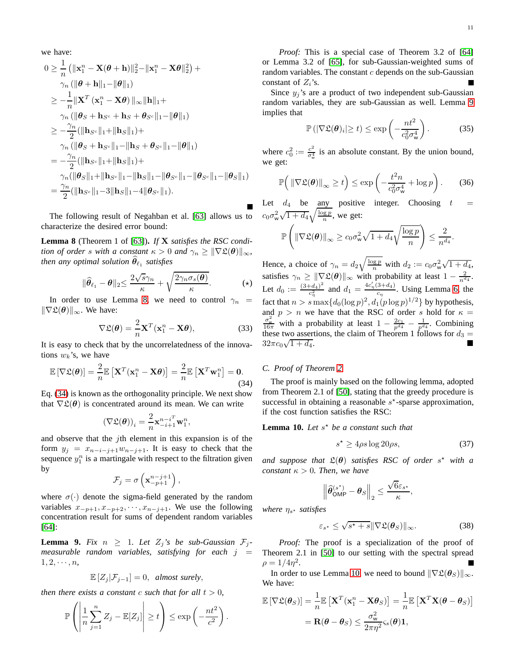we have:

$$
0 \geq \frac{1}{n} \left( \|\mathbf{x}_1^n - \mathbf{X}(\boldsymbol{\theta} + \mathbf{h})\|_2^2 - \|\mathbf{x}_1^n - \mathbf{X}\boldsymbol{\theta}\|_2^2 \right) +
$$
  
\n
$$
\gamma_n \left( \|\boldsymbol{\theta} + \mathbf{h}\|_1 - \|\boldsymbol{\theta}\|_1 \right)
$$
  
\n
$$
\geq -\frac{1}{n} \|\mathbf{X}^T (\mathbf{x}_1^n - \mathbf{X}\boldsymbol{\theta})\|_{\infty} \|\mathbf{h}\|_1 +
$$
  
\n
$$
\gamma_n \left( \|\boldsymbol{\theta}_S + \mathbf{h}_{S^c} + \mathbf{h}_S + \boldsymbol{\theta}_{S^c}\|_1 - \|\boldsymbol{\theta}\|_1 \right)
$$
  
\n
$$
\geq -\frac{\gamma_n}{2} (\|\mathbf{h}_{S^c}\|_1 + \|\mathbf{h}_S\|_1) +
$$
  
\n
$$
\gamma_n \left( \|\boldsymbol{\theta}_S + \mathbf{h}_{S^c}\|_1 - \|\mathbf{h}_S + \boldsymbol{\theta}_{S^c}\|_1 - \|\boldsymbol{\theta}\|_1 \right)
$$
  
\n
$$
= -\frac{\gamma_n}{2} (\|\mathbf{h}_{S^c}\|_1 + \|\mathbf{h}_S\|_1) +
$$
  
\n
$$
\gamma_n \left( \|\boldsymbol{\theta}_S\|_1 + \|\mathbf{h}_{S^c}\|_1 - \|\mathbf{h}_S\|_1 - \|\boldsymbol{\theta}_{S^c}\|_1 - \|\boldsymbol{\theta}_{S^c}\|_1 - \|\boldsymbol{\theta}_S\|_1 \right)
$$
  
\n
$$
= \frac{\gamma_n}{2} (\|\mathbf{h}_{S^c}\|_1 - 3\|\mathbf{h}_S\|_1 - 4\|\boldsymbol{\theta}_{S^c}\|_1).
$$

The following result of Negahban et al. [\[63\]](#page-14-8) allows us to characterize the desired error bound:

<span id="page-10-0"></span>**Lemma 8** (Theorem 1 of [\[63\]](#page-14-8))**.** *If* X *satisfies the RSC condition of order s with a constant*  $\kappa > 0$  *and*  $\gamma_n \geq ||\nabla \mathfrak{L}(\boldsymbol{\theta})||_{\infty}$ *, then any optimal solution*  $\widehat{\theta}_{\ell_1}$  *satisfies* 

$$
\|\widehat{\boldsymbol{\theta}}_{\ell_1} - \boldsymbol{\theta}\|_2 \le \frac{2\sqrt{s}\gamma_n}{\kappa} + \sqrt{\frac{2\gamma_n \sigma_s(\boldsymbol{\theta})}{\kappa}}.
$$
 (\*)

In order to use Lemma [8,](#page-10-0) we need to control  $\gamma_n$  =  $\|\nabla \mathfrak{L}(\theta)\|_{\infty}$ . We have:

$$
\nabla \mathfrak{L}(\boldsymbol{\theta}) = \frac{2}{n} \mathbf{X}^T (\mathbf{x}_1^n - \mathbf{X}\boldsymbol{\theta}),
$$
 (33)

It is easy to check that by the uncorrelatedness of the innovations  $w_k$ 's, we have

<span id="page-10-1"></span>
$$
\mathbb{E}\left[\nabla \mathfrak{L}(\boldsymbol{\theta})\right] = \frac{2}{n} \mathbb{E}\left[\mathbf{X}^T(\mathbf{x}_1^n - \mathbf{X}\boldsymbol{\theta})\right] = \frac{2}{n} \mathbb{E}\left[\mathbf{X}^T \mathbf{w}_1^n\right] = \mathbf{0}.
$$
\n(34)

Eq. [\(34\)](#page-10-1) is known as the orthogonality principle. We next show that  $\nabla \mathfrak{L}(\boldsymbol{\theta})$  is concentrated around its mean. We can write

$$
\left(\nabla \mathfrak{L}(\boldsymbol{\theta})\right)_i = \frac{2}{n} \mathbf{x}_{-i+1}^{n-i} \mathbf{w}_1^n,
$$

and observe that the jth element in this expansion is of the form  $y_j = x_{n-i-j+1}w_{n-j+1}$ . It is easy to check that the sequence  $y_1^n$  is a martingale with respect to the filtration given by

$$
\mathcal{F}_j = \sigma\left(\mathbf{x}_{-p+1}^{n-j+1}\right),\,
$$

where  $\sigma(\cdot)$  denote the sigma-field generated by the random variables  $x_{-p+1}, x_{-p+2}, \dots, x_{n-j+1}$ . We use the following concentration result for sums of dependent random variables [\[64\]](#page-14-9):

<span id="page-10-2"></span>**Lemma 9.** *Fix*  $n \geq 1$ *. Let*  $Z_i$ 's be sub-Gaussian  $\mathcal{F}_i$ *measurable random variables, satisfying for each*  $j =$  $1, 2, \cdots, n$ 

$$
\mathbb{E}\left[Z_j|\mathcal{F}_{j-1}\right]=0, \text{ almost surely},
$$

*then there exists a constant c such that for all*  $t > 0$ *,* 

$$
\mathbb{P}\left(\left|\frac{1}{n}\sum_{j=1}^n Z_j - \mathbb{E}[Z_j]\right| \ge t\right) \le \exp\left(-\frac{nt^2}{c^2}\right).
$$

Since  $y_j$ 's are a product of two independent sub-Gaussian random variables, they are sub-Gaussian as well. Lemma [9](#page-10-2) implies that

$$
\mathbb{P}\left(|\nabla \mathfrak{L}(\boldsymbol{\theta})_i| \ge t\right) \le \exp\left(-\frac{nt^2}{c_0^2 \sigma_w^4}\right). \tag{35}
$$

where  $c_0^2 := \frac{c^2}{\sigma_v^4}$  $\frac{c^2}{\sigma_w^4}$  is an absolute constant. By the union bound, we get:

$$
\mathbb{P}\Big(\left\|\nabla\mathfrak{L}(\boldsymbol{\theta})\right\|_{\infty}\geq t\Big)\leq \exp\left(-\frac{t^2n}{c_0^2\sigma_{\mathsf{w}}^4}+\log p\right).
$$
 (36)

Let  $d_4$  be <u>any</u> positive integer. Choosing  $t =$  $c_0 \sigma_w^2 \sqrt{1+d_4} \sqrt{\frac{\log p}{n}}$ , we get:

$$
\mathbb{P}\left(\|\nabla \mathfrak{L}(\boldsymbol{\theta})\|_{\infty} \geq c_0 \sigma_{\mathsf{w}}^2 \sqrt{1+d_4} \sqrt{\frac{\log p}{n}}\right) \leq \frac{2}{n^{d_4}}.
$$

Hence, a choice of  $\gamma_n = d_2 \sqrt{\frac{\log p}{n}}$  with  $d_2 := c_0 \sigma_w^2 \sqrt{1 + d_4}$ , satisfies  $\gamma_n \geq \|\nabla \mathfrak{L}(\theta)\|_{\infty}$  with probability at least  $1 - \frac{2}{n^d}$ . Let  $d_0 := \frac{(3+d_4)^2}{c^2}$  $\frac{(c_1 - c_2)}{c_2^2}$  and  $d_1 = \frac{4c'_\eta(3+d_4)}{c_\eta}$  $\frac{1}{c_{\eta}}$ . Using Lemma [6,](#page-9-2) the fact that  $n > s \max\{d_0(\log p)^2, d_1(p \log p)^{1/2}\}$  by hypothesis, and  $p > n$  we have that the RSC of order s hold for  $\kappa =$  $\frac{\sigma_w^2}{16\pi}$  with a probability at least  $1 - \frac{2c_1}{p^{d_4}} - \frac{1}{p^{d_4}}$ . Combining these two assertions, the claim of Theorem 1 follows for  $d_3 =$  $\frac{1}{32\pi c_0\sqrt{2}}$  $\frac{1 + d_4}{1 + d_4}$ .

## *C. Proof of Theorem [2](#page-4-0)*

The proof is mainly based on the following lemma, adopted from Theorem 2.1 of [\[50\]](#page-13-42), stating that the greedy procedure is successful in obtaining a reasonable  $s<sup>*</sup>$ -sparse approximation, if the cost function satisfies the RSC:

<span id="page-10-3"></span>**Lemma 10.** *Let* s <sup>⋆</sup> *be a constant such that*

<span id="page-10-4"></span>
$$
s^* \ge 4\rho s \log 20\rho s,\tag{37}
$$

and suppose that  $\mathfrak{L}(\theta)$  satisfies RSC of order  $s^{\star}$  with a *constant*  $\kappa > 0$ *. Then, we have* 

$$
\left\|\widehat{\theta}_{\sf OMP}^{(s^\star)} - \theta_S\right\|_2 \leq \frac{\sqrt{6}\varepsilon_{s^\star}}{\kappa},
$$

 $where η<sub>s</sub> × satisfies$ 

$$
\varepsilon_{s^*} \le \sqrt{s^* + s} \|\nabla \mathfrak{L}(\boldsymbol{\theta}_S)\|_{\infty}.
$$
 (38)

*Proof:* The proof is a specialization of the proof of Theorem 2.1 in [\[50\]](#page-13-42) to our setting with the spectral spread  $\rho = 1/4\eta^2$ .

In order to use Lemma [10,](#page-10-3) we need to bound  $\|\nabla \mathfrak{L}(\boldsymbol{\theta}_S)\|_{\infty}$ . We have:

$$
\mathbb{E}\left[\nabla \mathfrak{L}(\boldsymbol{\theta}_{S})\right] = \frac{1}{n} \mathbb{E}\left[\mathbf{X}^{T}(\mathbf{x}_{1}^{n} - \mathbf{X}\boldsymbol{\theta}_{S})\right] = \frac{1}{n} \mathbb{E}\left[\mathbf{X}^{T}\mathbf{X}(\boldsymbol{\theta} - \boldsymbol{\theta}_{S})\right]
$$

$$
= \mathbf{R}(\boldsymbol{\theta} - \boldsymbol{\theta}_{S}) \leq \frac{\sigma_{\mathbf{w}}^{2}}{2\pi\eta^{2}} \varsigma_{s}(\boldsymbol{\theta}) \mathbf{1},
$$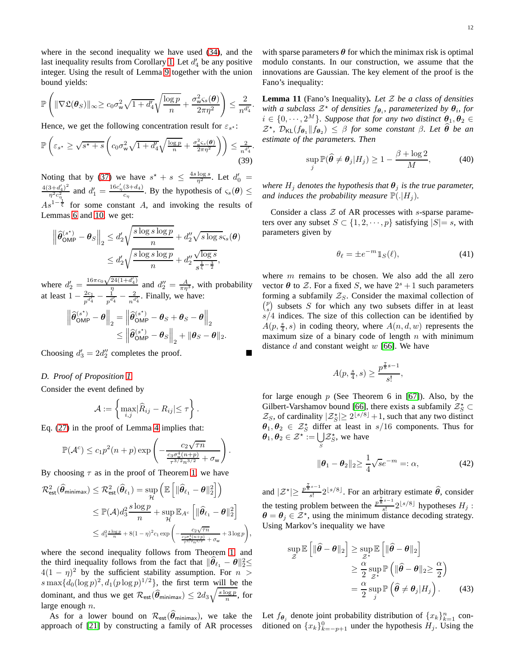where in the second inequality we have used [\(34\)](#page-10-1), and the last inequality results from Corollary [1.](#page-8-1) Let  $d_4$  be any positive integer. Using the result of Lemma [9](#page-10-2) together with the union bound yields:

$$
\mathbb{P}\left(\|\nabla \mathfrak{L}(\boldsymbol{\theta}_S)\|_{\infty}\geq c_0\sigma_{\mathsf{w}}^2\sqrt{1+d_4'}\sqrt{\frac{\log p}{n}}+\frac{\sigma_{\mathsf{w}}^2\varsigma_s(\boldsymbol{\theta})}{2\pi\eta^2}\right)\leq \frac{2}{n^{d_4'}}.
$$

Hence, we get the following concentration result for  $\varepsilon_{s^*}$ :

$$
\mathbb{P}\left(\varepsilon_{s^*} \ge \sqrt{s^* + s} \left( c_0 \sigma_w^2 \sqrt{1 + d_4'} \sqrt{\frac{\log p}{n}} + \frac{\sigma_w^2 \varsigma_s(\boldsymbol{\theta})}{2\pi \eta^2} \right) \right) \le \frac{2}{n^{d_4'}}.
$$
\n(39)

Noting that by [\(37\)](#page-10-4) we have  $s^* + s \leq \frac{4s \log s}{\eta^2}$ . Let  $d'_0 =$  $4(3+d_4')^2$  $\frac{(3+d'_4)^2}{\eta^2 c_\eta^2}$  and  $d'_1 = \frac{16c'_\eta(3+d_4)}{c_\eta}$  $\frac{(3+d_4)}{c_n}$ . By the hypothesis of  $\varsigma_s(\boldsymbol{\theta}) \leq$  $As^{1-\frac{1}{5}}$  for some constant A, and invoking the results of Lemmas [6](#page-9-2) and [10,](#page-10-3) we get:

$$
\left\|\widehat{\theta}_{\sf OMP}^{(s^*)}-\theta_{S}\right\|_{2} \leq d'_{2}\sqrt{\frac{s\log s\log p}{n}} + d''_{2}\sqrt{s\log s_{S}}(\theta)
$$

$$
\leq d'_{2}\sqrt{\frac{s\log s\log p}{n}} + d''_{2}\frac{\sqrt{\log s}}{s^{\frac{1}{\xi}-\frac{3}{2}}},
$$

where  $d_2' = \frac{16\pi c_0 \sqrt{24(1+d_4')}}{\eta}$  $\frac{d_2^{\prime\prime}(1+a_4^{\prime})}{\sqrt{n}}$  and  $d_2^{\prime\prime}=\frac{A}{\pi\eta^3}$ , with probability at least  $1 - \frac{2c_1}{n^{d'_4}}$  $\frac{2c_1}{p^{d'_4}} - \frac{1}{p^{d'_4}} - \frac{2}{n^{d'_4}}$ . Finally, we have:

$$
\begin{aligned} \left\| \widehat{\boldsymbol{\theta}}_{\sf OMP}^{(s^*)} - \boldsymbol{\theta} \right\|_2 &= \left\| \widehat{\boldsymbol{\theta}}_{\sf OMP}^{(s^*)} - \boldsymbol{\theta}_S + \boldsymbol{\theta}_S - \boldsymbol{\theta} \right\|_2 \\ &\leq \left\| \widehat{\boldsymbol{\theta}}_{\sf OMP}^{(s^*)} - \boldsymbol{\theta}_S \right\|_2 + \|\boldsymbol{\theta}_S - \boldsymbol{\theta}\|_2. \end{aligned}
$$

Choosing  $d'_3 = 2d''_2$  completes the proof.

## <span id="page-11-0"></span>*D. Proof of Proposition [1](#page-5-1)*

Consider the event defined by

$$
\mathcal{A} := \left\{ \max_{i,j} |\widehat{R}_{ij} - R_{ij}| \leq \tau \right\}.
$$

Eq. [\(27\)](#page-9-9) in the proof of Lemma [4](#page-9-8) implies that:

$$
\mathbb{P}(\mathcal{A}^c) \le c_1 p^2 (n+p) \exp \left(-\frac{c_2 \sqrt{\tau n}}{\frac{c_3 \sigma_w^4 (n+p)}{\tau^{3/2} n^{3/2}} + \sigma_w}\right).
$$

By choosing  $\tau$  as in the proof of Theorem [1,](#page-3-4) we have

$$
\mathcal{R}^2_{\text{est}}(\widehat{\theta}_{\text{minimax}}) \leq \mathcal{R}^2_{\text{est}}(\widehat{\theta}_{\ell_1}) = \sup_{\mathcal{H}} \left( \mathbb{E} \left[ \| \widehat{\theta}_{\ell_1} - \theta \|_2^2 \right] \right)
$$
  

$$
\leq \mathbb{P}(\mathcal{A}) d_3^2 \frac{s \log p}{n} + \sup_{\mathcal{H}} \mathbb{E}_{A^c} \left[ \| \widehat{\theta}_{\ell_1} - \theta \|_2^2 \right]
$$
  

$$
\leq d_3^2 \frac{s \log p}{n} + 8(1 - \eta)^2 c_1 \exp \left( -\frac{c_2 \sqrt{\tau n}}{\frac{c_3 \sigma_w^4(n+p)}{\tau^{3/2} n^{3/2}} + \sigma_w} + 3 \log p \right),
$$

where the second inequality follows from Theorem [1,](#page-3-4) and the third inequality follows from the fact that  $\|\widehat{\theta}_{\ell_1} - \theta\|_2^2 \leq$  $4(1 - \eta)^2$  by the sufficient stability assumption. For  $n >$  $s \max\{d_0(\log p)^2, d_1(p \log p)^{1/2}\}\$ , the first term will be the dominant, and thus we get  $\mathcal{R}_{\text{est}}(\hat{\theta}_{\text{minimax}}) \leq 2d_3 \sqrt{\frac{s \log p}{n}}$ , for large enough  $n$ .

As for a lower bound on  $\mathcal{R}_{est}(\theta_{\text{minimax}})$ , we take the approach of [\[21\]](#page-13-14) by constructing a family of AR processes with sparse parameters  $\theta$  for which the minimax risk is optimal modulo constants. In our construction, we assume that the innovations are Gaussian. The key element of the proof is the Fano's inequality:

<span id="page-11-1"></span>**Lemma 11** (Fano's Inequality)**.** *Let* Z *be a class of densities* with a subclass  $Z^*$  of densities  $f_{\theta_i}$ , parameterized by  $\theta_i$ , for  $i \in \{0, \dots, 2^M\}$ . Suppose that for any two distinct  $\theta_1, \theta_2 \in$  $\mathcal{Z}^{\star}$ ,  $\mathcal{D}_{\text{KL}}(f_{\theta_1} \| f_{\theta_2}) \leq \beta$  *for some constant*  $\beta$ *. Let*  $\widehat{\theta}$  *be an estimate of the parameters. Then*

$$
\sup_{j} \mathbb{P}(\widehat{\theta} \neq \theta_j | H_j) \ge 1 - \frac{\beta + \log 2}{M}, \tag{40}
$$

*where*  $H_i$  *denotes the hypothesis that*  $\theta_i$  *is the true parameter, and induces the probability measure*  $\mathbb{P}(.|H_i)$ *.* 

Consider a class  $Z$  of AR processes with s-sparse parameters over any subset  $S \subset \{1, 2, \dots, p\}$  satisfying  $|S| = s$ , with parameters given by

$$
\theta_{\ell} = \pm e^{-m} \mathbb{1}_S(\ell),\tag{41}
$$

where  $m$  remains to be chosen. We also add the all zero vector  $\theta$  to  $\mathcal{Z}$ . For a fixed S, we have  $2^{s} + 1$  such parameters forming a subfamily  $Z_S$ . Consider the maximal collection of  $\binom{p}{s}$  subsets S for which any two subsets differ in at least  $s/4$  indices. The size of this collection can be identified by  $A(p, \frac{s}{4}, s)$  in coding theory, where  $A(n, d, w)$  represents the maximum size of a binary code of length  $n$  with minimum distance  $d$  and constant weight  $w$  [\[66\]](#page-14-11). We have

$$
A(p, \frac{s}{4}, s) \ge \frac{p^{\frac{7}{8}s - 1}}{s!},
$$

for large enough  $p$  (See Theorem 6 in [\[67\]](#page-14-12)). Also, by the Gilbert-Varshamov bound [\[66\]](#page-14-11), there exists a subfamily  $\mathcal{Z}_S^*$  $\mathcal{Z}_S$ , of cardinality  $|\mathcal{Z}_S^{\star}| \geq 2^{\lfloor s/8 \rfloor} + 1$ , such that any two distinct  $\theta_1, \theta_2 \in \mathcal{Z}_S^*$  differ at least in s/16 components. Thus for  $\boldsymbol{\theta}_1, \boldsymbol{\theta}_2 \in \mathcal{Z}^\star := \bigcup$  $\bigcup_{S} \mathcal{Z}_{S}^{\star}$ , we have

<span id="page-11-2"></span>
$$
\|\boldsymbol{\theta}_1 - \boldsymbol{\theta}_2\|_2 \ge \frac{1}{4}\sqrt{s}e^{-m} =: \alpha,\tag{42}
$$

and  $|\mathcal{Z}^{\star}| \geq \frac{p^{\frac{7}{8}s-1}}{s!}$  $\frac{s-1}{s!} 2^{\lfloor s/8 \rfloor}$ . For an arbitrary estimate  $\hat{\theta}$ , consider the testing problem between the  $\frac{p^{\frac{7}{8}s-1}}{s!}$  $\frac{s^{(s-1)}}{s!}2^{\lfloor s/8 \rfloor}$  hypotheses  $H_j$ :  $\theta = \theta_j \in \mathcal{Z}^*$ , using the minimum distance decoding strategy. Using Markov's inequality we have

<span id="page-11-3"></span>
$$
\sup_{\mathcal{Z}} \mathbb{E} \left[ \| \hat{\theta} - \theta \|_2 \right] \ge \sup_{\mathcal{Z}^*} \mathbb{E} \left[ \| \hat{\theta} - \theta \|_2 \right]
$$
  

$$
\ge \frac{\alpha}{2} \sup_{\mathcal{Z}^*} \mathbb{P} \left( \| \hat{\theta} - \theta \|_2 \ge \frac{\alpha}{2} \right)
$$
  

$$
= \frac{\alpha}{2} \sup_j \mathbb{P} \left( \hat{\theta} \ne \theta_j | H_j \right). \tag{43}
$$

Let  $f_{\theta_j}$  denote joint probability distribution of  $\{x_k\}_{k=1}^n$  conditioned on  $\{x_k\}_{k=-p+1}^0$  under the hypothesis  $H_j$ . Using the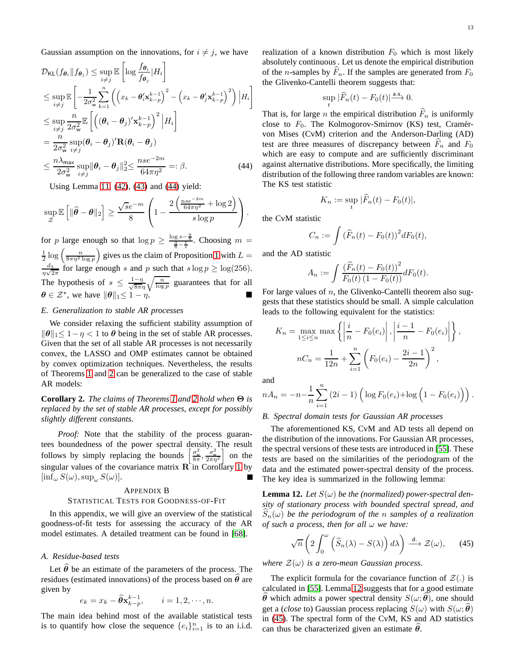Gaussian assumption on the innovations, for  $i \neq j$ , we have

$$
\mathcal{D}_{\mathsf{KL}}(f_{\theta_i} \| f_{\theta_j}) \leq \sup_{i \neq j} \mathbb{E} \left[ \log \frac{f_{\theta_i}}{f_{\theta_j}} | H_i \right]
$$
\n
$$
\leq \sup_{i \neq j} \mathbb{E} \left[ -\frac{1}{2\sigma_w^2} \sum_{k=1}^n \left( \left( x_k - \theta'_i \mathbf{x}_{k-p}^{k-1} \right)^2 - \left( x_k - \theta'_j \mathbf{x}_{k-p}^{k-1} \right)^2 \right) | H_i \right]
$$
\n
$$
\leq \sup_{i \neq j} \frac{n}{2\sigma_w^2} \mathbb{E} \left[ \left( (\theta_i - \theta_j)' \mathbf{x}_{k-p}^{k-1} \right)^2 | H_i \right]
$$
\n
$$
= \frac{n}{2\sigma_w^2} \sup_{i \neq j} (\theta_i - \theta_j)' \mathbf{R} (\theta_i - \theta_j)
$$
\n
$$
\leq \frac{n\lambda_{\max}}{2\sigma_w^2} \sup_{i \neq j} \|\theta_i - \theta_j\|_2^2 \leq \frac{nse^{-2m}}{64\pi\eta^2} =: \beta. \tag{44}
$$

Using Lemma [11,](#page-11-1) [\(42\)](#page-11-2), [\(43\)](#page-11-3) and [\(44\)](#page-12-1) yield:

$$
\sup_{\mathcal{Z}} \mathbb{E}\left[\|\widehat{\boldsymbol{\theta}} - \boldsymbol{\theta}\|_2\right] \ge \frac{\sqrt{s}e^{-m}}{8}\left(1 - \frac{2\left(\frac{nse^{-2m}}{64\pi\eta^2} + \log 2\right)}{s\log p}\right).
$$

for p large enough so that  $\log p \ge \frac{\log s - \frac{9}{8}}{\frac{3}{8} - \frac{1}{s}}$ . Choosing  $m =$  $\frac{1}{2} \log \left( \frac{n}{8\pi \eta^2 \log p} \right)$  gives us the claim of Prop ) gives us the claim of Proposition [1](#page-5-1) with  $L =$  $\scriptstyle d_3$  $\frac{d_3}{\eta\sqrt{2\pi}}$  for large enough s and p such that  $s \log p \ge \log(256)$ . The hypothesis of  $s \leq \frac{1-\eta}{\sqrt{8\pi\eta}} \sqrt{\frac{n}{\log p}}$  guarantees that for all  $\theta \in \mathcal{Z}^*$ , we have  $\|\theta\|_1 \leq 1 - \eta$ .

## *E. Generalization to stable AR processes*

We consider relaxing the sufficient stability assumption of  $\|\theta\|_1 \leq 1 - \eta < 1$  to  $\theta$  being in the set of stable AR processes. Given that the set of all stable AR processes is not necessarily convex, the LASSO and OMP estimates cannot be obtained by convex optimization techniques. Nevertheless, the results of Theorems [1](#page-3-4) and [2](#page-4-0) can be generalized to the case of stable AR models:

**Corollary 2.** *The claims of Theorems [1](#page-3-4) and [2](#page-4-0) hold when* Θ *is replaced by the set of stable AR processes, except for possibly slightly different constants.*

*Proof:* Note that the stability of the process guarantees boundedness of the power spectral density. The result follows by simply replacing the bounds  $\left[\frac{\sigma_w^2}{8\pi}, \frac{\sigma_w^2}{2\pi\eta^2}\right]$ i on the singular values of the covariance matrix  $\mathbf{R}$  in Corollary [1](#page-8-1) by  $[\inf_{\omega} S(\omega), \sup_{\omega} S(\omega)].$ 

#### <span id="page-12-0"></span>APPENDIX B

#### STATISTICAL TESTS FOR GOODNESS-OF-FIT

In this appendix, we will give an overview of the statistical goodness-of-fit tests for assessing the accuracy of the AR model estimates. A detailed treatment can be found in [\[68\]](#page-14-13).

## *A. Residue-based tests*

Let  $\hat{\theta}$  be an estimate of the parameters of the process. The residues (estimated innovations) of the process based on  $\hat{\theta}$  are given by

$$
e_k = x_k - \widehat{\theta} \mathbf{x}_{k-p}^{k-1}, \qquad i = 1, 2, \cdots, n.
$$

The main idea behind most of the available statistical tests is to quantify how close the sequence  $\{e_i\}_{i=1}^n$  is to an i.i.d. realization of a known distribution  $F_0$  which is most likely absolutely continuous . Let us denote the empirical distribution of the *n*-samples by  $F_n$ . If the samples are generated from  $F_0$ the Glivenko-Cantelli theorem suggests that:

$$
\sup_t |\widehat{F}_n(t) - F_0(t)| \stackrel{\text{a.s.}}{\longrightarrow} 0.
$$

<span id="page-12-1"></span>That is, for large *n* the empirical distribution  $\widehat{F}_n$  is uniformly close to  $F_0$ . The Kolmogorov-Smirnov (KS) test, Cramérvon Mises (CvM) criterion and the Anderson-Darling (AD) test are three measures of discrepancy between  $F_n$  and  $F_0$ which are easy to compute and are sufficiently discriminant against alternative distributions. More specifically, the limiting distribution of the following three random variables are known: The KS test statistic

$$
K_n := \sup_t |\tilde{F}_n(t) - F_0(t)|,
$$

the CvM statistic

$$
C_n := \int \left(\widehat{F}_n(t) - F_0(t)\right)^2 dF_0(t),
$$

and the AD statistic

$$
A_n := \int \frac{\left(\widehat{F}_n(t) - F_0(t)\right)^2}{F_0(t) \left(1 - F_0(t)\right)} dF_0(t).
$$

For large values of  $n$ , the Glivenko-Cantelli theorem also suggests that these statistics should be small. A simple calculation leads to the following equivalent for the statistics:

$$
K_n = \max_{1 \le i \le n} \max \left\{ \left| \frac{i}{n} - F_0(e_i) \right|, \left| \frac{i-1}{n} - F_0(e_i) \right| \right\},\newline nC_n = \frac{1}{12n} + \sum_{i=1}^n \left( F_0(e_i) - \frac{2i-1}{2n} \right)^2,
$$

and

$$
nA_n = -n - \frac{1}{n} \sum_{i=1}^n (2i - 1) \left( \log F_0(e_i) + \log \left( 1 - F_0(e_i) \right) \right).
$$

#### *B. Spectral domain tests for Gaussian AR processes*

The aforementioned KS, CvM and AD tests all depend on the distribution of the innovations. For Gaussian AR processes, the spectral versions of these tests are introduced in [\[55\]](#page-14-0). These tests are based on the similarities of the periodogram of the data and the estimated power-spectral density of the process. The key idea is summarized in the following lemma:

<span id="page-12-2"></span>**Lemma 12.** Let  $S(\omega)$  be the (normalized) power-spectral den*sity of stationary process with bounded spectral spread, and*  $S_n(\omega)$  be the periodogram of the *n* samples of a realization *of such a process, then for all* ω *we have:*

<span id="page-12-3"></span>
$$
\sqrt{n}\left(2\int_0^{\omega}\left(\widehat{S}_n(\lambda)-S(\lambda)\right)d\lambda\right)\stackrel{\mathsf{d.}}{\longrightarrow}\mathcal{Z}(\omega),\qquad(45)
$$

*where*  $\mathcal{Z}(\omega)$  *is a zero-mean Gaussian process.* 

The explicit formula for the covariance function of  $\mathcal{Z}(.)$  is calculated in [\[55\]](#page-14-0). Lemma [12](#page-12-2) suggests that for a good estimate  $\theta$  which admits a power spectral density  $S(\omega; \theta)$ , one should get a (*close* to) Gaussian process replacing  $S(\omega)$  with  $S(\omega; \theta)$ in [\(45\)](#page-12-3). The spectral form of the CvM, KS and AD statistics can thus be characterized given an estimate  $\theta$ .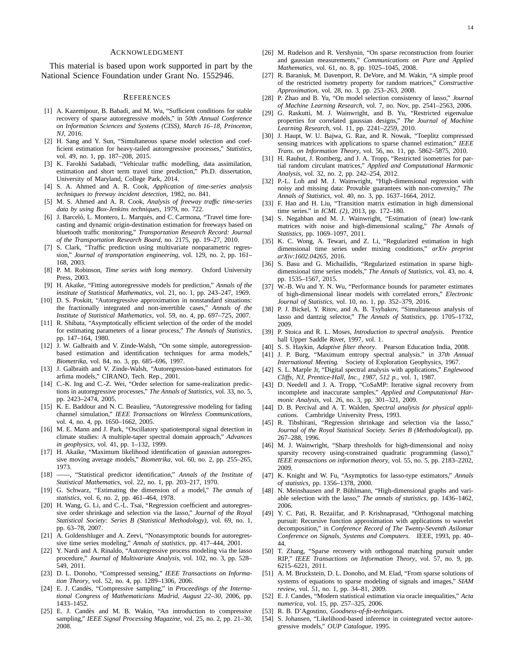#### ACKNOWLEDGMENT

This material is based upon work supported in part by the National Science Foundation under Grant No. 1552946.

#### **REFERENCES**

- <span id="page-13-7"></span>[1] A. Kazemipour, B. Babadi, and M. Wu, "Sufficient conditions for stable recovery of sparse autoregressive models," in *50th Annual Conference on Information Sciences and Systems (CISS), March 16–18, Princeton, NJ*, 2016.
- <span id="page-13-0"></span>[2] H. Sang and Y. Sun, "Simultaneous sparse model selection and coefficient estimation for heavy-tailed autoregressive processes," *Statistics*, vol. 49, no. 1, pp. 187–208, 2015.
- <span id="page-13-1"></span>[3] K. Farokhi Sadabadi, "Vehicular traffic modelling, data assimilation, estimation and short term travel time prediction," Ph.D. dissertation, University of Maryland, College Park, 2014.
- [4] S. A. Ahmed and A. R. Cook, *Application of time-series analysis techniques to freeway incident detection*, 1982, no. 841.
- [5] M. S. Ahmed and A. R. Cook, *Analysis of freeway traffic time-series data by using Box-Jenkins techniques*, 1979, no. 722.
- [6] J. Barceló, L. Montero, L. Marqués, and C. Carmona, "Travel time forecasting and dynamic origin-destination estimation for freeways based on bluetooth traffic monitoring," *Transportation Research Record: Journal of the Transportation Research Board*, no. 2175, pp. 19–27, 2010.
- [7] S. Clark, "Traffic prediction using multivariate nonparametric regression," *Journal of transportation engineering*, vol. 129, no. 2, pp. 161– 168, 2003.
- <span id="page-13-2"></span>[8] P. M. Robinson, *Time series with long memory*. Oxford University Press, 2003.
- <span id="page-13-3"></span>[9] H. Akaike, "Fitting autoregressive models for prediction," *Annals of the institute of Statistical Mathematics*, vol. 21, no. 1, pp. 243–247, 1969.
- <span id="page-13-4"></span>[10] D. S. Poskitt, "Autoregressive approximation in nonstandard situations: the fractionally integrated and non-invertible cases," *Annals of the Institute of Statistical Mathematics*, vol. 59, no. 4, pp. 697–725, 2007.
- <span id="page-13-5"></span>[11] R. Shibata, "Asymptotically efficient selection of the order of the model for estimating parameters of a linear process," *The Annals of Statistics*, pp. 147–164, 1980.
- [12] J. W. Galbraith and V. Zinde-Walsh, "On some simple, autoregressionbased estimation and identification techniques for arma models," *Biometrika*, vol. 84, no. 3, pp. 685–696, 1997.
- [13] J. Galbraith and V. Zinde-Walsh, "Autoregression-based estimators for arfima models," CIRANO, Tech. Rep., 2001.
- <span id="page-13-6"></span>[14] C.-K. Ing and C.-Z. Wei, "Order selection for same-realization predictions in autoregressive processes," *The Annals of Statistics*, vol. 33, no. 5, pp. 2423–2474, 2005.
- <span id="page-13-8"></span>[15] K. E. Baddour and N. C. Beaulieu, "Autoregressive modeling for fading channel simulation," *IEEE Transactions on Wireless Communications*, vol. 4, no. 4, pp. 1650–1662, 2005.
- <span id="page-13-9"></span>[16] M. E. Mann and J. Park, "Oscillatory spatiotemporal signal detection in climate studies: A multiple-taper spectral domain approach," *Advances in geophysics*, vol. 41, pp. 1–132, 1999.
- <span id="page-13-10"></span>[17] H. Akaike, "Maximum likelihood identification of gaussian autoregressive moving average models," *Biometrika*, vol. 60, no. 2, pp. 255–265, 1973.
- <span id="page-13-11"></span>[18] ——, "Statistical predictor identification," *Annals of the Institute of Statistical Mathematics*, vol. 22, no. 1, pp. 203–217, 1970.
- <span id="page-13-12"></span>[19] G. Schwarz, "Estimating the dimension of a model," *The annals of statistics*, vol. 6, no. 2, pp. 461–464, 1978.
- <span id="page-13-13"></span>[20] H. Wang, G. Li, and C.-L. Tsai, "Regression coefficient and autoregressive order shrinkage and selection via the lasso," *Journal of the Royal Statistical Society: Series B (Statistical Methodology)*, vol. 69, no. 1, pp. 63–78, 2007.
- <span id="page-13-14"></span>[21] A. Goldenshluger and A. Zeevi, "Nonasymptotic bounds for autoregressive time series modeling," *Annals of statistics*, pp. 417–444, 2001.
- <span id="page-13-15"></span>[22] Y. Nardi and A. Rinaldo, "Autoregressive process modeling via the lasso procedure," *Journal of Multivariate Analysis*, vol. 102, no. 3, pp. 528– 549, 2011.
- <span id="page-13-16"></span>[23] D. L. Donoho, "Compressed sensing," *IEEE Transactions on Information Theory*, vol. 52, no. 4, pp. 1289-1306, 2006.
- [24] E. J. Candès, "Compressive sampling," in *Proceedings of the International Congress of Mathematicians Madrid, August 22–30*, 2006, pp. 1433–1452.
- <span id="page-13-17"></span>[25] E. J. Candès and M. B. Wakin, "An introduction to compressive sampling," *IEEE Signal Processing Magazine*, vol. 25, no. 2, pp. 21–30, 2008.
- <span id="page-13-18"></span>[26] M. Rudelson and R. Vershynin, "On sparse reconstruction from fourier and gaussian measurements," *Communications on Pure and Applied Mathematics*, vol. 61, no. 8, pp. 1025–1045, 2008.
- <span id="page-13-19"></span>[27] R. Baraniuk, M. Davenport, R. DeVore, and M. Wakin, "A simple proof of the restricted isometry property for random matrices," *Constructive Approximation*, vol. 28, no. 3, pp. 253–263, 2008.
- <span id="page-13-20"></span>[28] P. Zhao and B. Yu, "On model selection consistency of lasso," *Journal of Machine Learning Research*, vol. 7, no. Nov, pp. 2541–2563, 2006.
- <span id="page-13-21"></span>[29] G. Raskutti, M. J. Wainwright, and B. Yu, "Restricted eigenvalue properties for correlated gaussian designs," *The Journal of Machine Learning Research*, vol. 11, pp. 2241–2259, 2010.
- <span id="page-13-22"></span>[30] J. Haupt, W. U. Bajwa, G. Raz, and R. Nowak, "Toeplitz compressed sensing matrices with applications to sparse channel estimation," *IEEE Trans. on Information Theory*, vol. 56, no. 11, pp. 5862–5875, 2010.
- <span id="page-13-23"></span>[31] H. Rauhut, J. Romberg, and J. A. Tropp, "Restricted isometries for partial random circulant matrices," *Applied and Computational Harmonic Analysis*, vol. 32, no. 2, pp. 242–254, 2012.
- <span id="page-13-24"></span>[32] P.-L. Loh and M. J. Wainwright, "High-dimensional regression with noisy and missing data: Provable guarantees with non-convexity," *The Annals of Statistics*, vol. 40, no. 3, pp. 1637–1664, 2012.
- <span id="page-13-25"></span>[33] F. Han and H. Liu, "Transition matrix estimation in high dimensional time series." in *ICML (2)*, 2013, pp. 172–180.
- <span id="page-13-26"></span>[34] S. Negahban and M. J. Wainwright, "Estimation of (near) low-rank matrices with noise and high-dimensional scaling," *The Annals of Statistics*, pp. 1069–1097, 2011.
- <span id="page-13-27"></span>[35] K. C. Wong, A. Tewari, and Z. Li, "Regularized estimation in high dimensional time series under mixing conditions," *arXiv preprint arXiv:1602.04265*, 2016.
- <span id="page-13-28"></span>[36] S. Basu and G. Michailidis, "Regularized estimation in sparse highdimensional time series models," *The Annals of Statistics*, vol. 43, no. 4, pp. 1535–1567, 2015.
- <span id="page-13-29"></span>[37] W.-B. Wu and Y. N. Wu, "Performance bounds for parameter estimates of high-dimensional linear models with correlated errors," *Electronic Journal of Statistics*, vol. 10, no. 1, pp. 352–379, 2016.
- <span id="page-13-30"></span>[38] P. J. Bickel, Y. Ritov, and A. B. Tsybakov, "Simultaneous analysis of lasso and dantzig selector," *The Annals of Statistics*, pp. 1705–1732, 2009.
- <span id="page-13-31"></span>[39] P. Stoica and R. L. Moses, *Introduction to spectral analysis*. Prentice hall Upper Saddle River, 1997, vol. 1.
- <span id="page-13-33"></span><span id="page-13-32"></span>[40] S. S. Haykin, *Adaptive filter theory*. Pearson Education India, 2008.
- [41] J. P. Burg, "Maximum entropy spectral analysis." in *37th Annual International Meeting.* Society of Exploration Geophysics, 1967.
- <span id="page-13-34"></span>[42] S. L. Marple Jr, "Digital spectral analysis with applications," *Englewood Cliffs, NJ, Prentice-Hall, Inc., 1987, 512 p.*, vol. 1, 1987.
- <span id="page-13-35"></span>[43] D. Needell and J. A. Tropp, "CoSaMP: Iterative signal recovery from incomplete and inaccurate samples," *Applied and Computational Harmonic Analysis*, vol. 26, no. 3, pp. 301–321, 2009.
- <span id="page-13-36"></span>[44] D. B. Percival and A. T. Walden, *Spectral analysis for physical applications*. Cambridge University Press, 1993.
- <span id="page-13-37"></span>[45] R. Tibshirani, "Regression shrinkage and selection via the lasso," *Journal of the Royal Statistical Society. Series B (Methodological)*, pp. 267–288, 1996.
- <span id="page-13-38"></span>[46] M. J. Wainwright, "Sharp thresholds for high-dimensional and noisy sparsity recovery using-constrained quadratic programming (lasso), *IEEE transactions on information theory*, vol. 55, no. 5, pp. 2183–2202, 2009.
- <span id="page-13-40"></span>[47] K. Knight and W. Fu, "Asymptotics for lasso-type estimators," *Annals of statistics*, pp. 1356–1378, 2000.
- <span id="page-13-39"></span>[48] N. Meinshausen and P. Bühlmann, "High-dimensional graphs and variable selection with the lasso," *The annals of statistics*, pp. 1436–1462, 2006.
- <span id="page-13-41"></span>[49] Y. C. Pati, R. Rezaiifar, and P. Krishnaprasad, "Orthogonal matching pursuit: Recursive function approximation with applications to wavelet decomposition," in *Conference Record of The Twenty-Seventh Asilomar Conference on Signals, Systems and Computers*. IEEE, 1993, pp. 40– 44.
- <span id="page-13-42"></span>[50] T. Zhang, "Sparse recovery with orthogonal matching pursuit under RIP," *IEEE Transactions on Information Theory*, vol. 57, no. 9, pp. 6215–6221, 2011.
- <span id="page-13-43"></span>[51] A. M. Bruckstein, D. L. Donoho, and M. Elad, "From sparse solutions of systems of equations to sparse modeling of signals and images," *SIAM review*, vol. 51, no. 1, pp. 34–81, 2009.
- <span id="page-13-44"></span>[52] E. J. Candes, "Modern statistical estimation via oracle inequalities," *Acta numerica*, vol. 15, pp. 257–325, 2006.
- <span id="page-13-45"></span>[53] R. B. D'Agostino, *Goodness-of-fit-techniques*.
- S. Johansen, "Likelihood-based inference in cointegrated vector autoregressive models," *OUP Catalogue*, 1995.